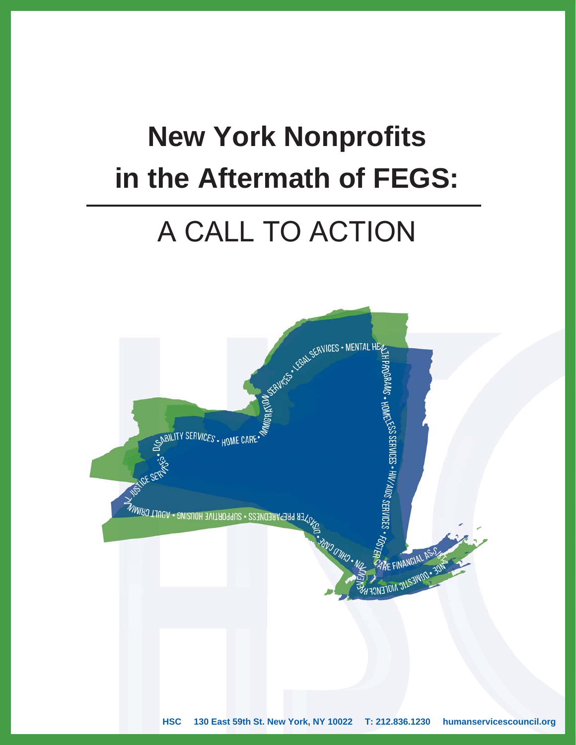# **New York Nonprofits in the Aftermath of FEGS:**

## A CALL TO ACTION

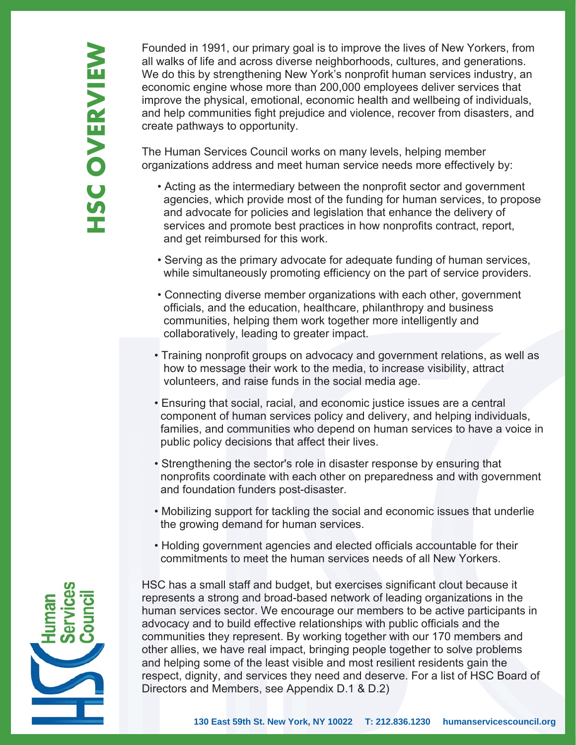Founded in 1991, our primary goal is to improve the lives of New Yorkers, from all walks of life and across diverse neighborhoods, cultures, and generations. We do this by strengthening New York's nonprofit human services industry, an economic engine whose more than 200,000 employees deliver services that improve the physical, emotional, economic health and wellbeing of individuals, and help communities fight prejudice and violence, recover from disasters, and create pathways to opportunity.

The Human Services Council works on many levels, helping member organizations address and meet human service needs more effectively by:

- Acting as the intermediary between the nonprofit sector and government agencies, which provide most of the funding for human services, to propose and advocate for policies and legislation that enhance the delivery of services and promote best practices in how nonprofits contract, report, and get reimbursed for this work.
- Serving as the primary advocate for adequate funding of human services, while simultaneously promoting efficiency on the part of service providers.
- Connecting diverse member organizations with each other, government officials, and the education, healthcare, philanthropy and business communities, helping them work together more intelligently and collaboratively, leading to greater impact.
- Training nonprofit groups on advocacy and government relations, as well as how to message their work to the media, to increase visibility, attract volunteers, and raise funds in the social media age.
- Ensuring that social, racial, and economic justice issues are a central component of human services policy and delivery, and helping individuals, families, and communities who depend on human services to have a voice in public policy decisions that affect their lives.
- Strengthening the sector's role in disaster response by ensuring that nonprofits coordinate with each other on preparedness and with government and foundation funders post-disaster.
- Mobilizing support for tackling the social and economic issues that underlie the growing demand for human services.
- Holding government agencies and elected officials accountable for their commitments to meet the human services needs of all New Yorkers.



HSC has a small staff and budget, but exercises significant clout because it represents a strong and broad-based network of leading organizations in the human services sector. We encourage our members to be active participants in advocacy and to build effective relationships with public officials and the communities they represent. By working together with our 170 members and other allies, we have real impact, bringing people together to solve problems and helping some of the least visible and most resilient residents gain the respect, dignity, and services they need and deserve. For a list of HSC Board of Directors and Members, see Appendix D.1 & D.2)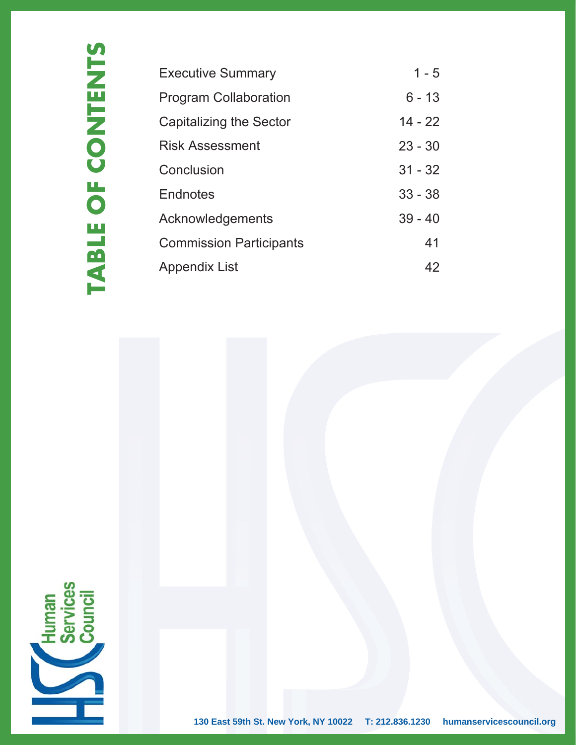| <b>Executive Summary</b>       | $1 - 5$   |
|--------------------------------|-----------|
| <b>Program Collaboration</b>   | $6 - 13$  |
| Capitalizing the Sector        | $14 - 22$ |
| <b>Risk Assessment</b>         | $23 - 30$ |
| Conclusion                     | $31 - 32$ |
| Endnotes                       | $33 - 38$ |
| Acknowledgements               | $39 - 40$ |
| <b>Commission Participants</b> | 41        |
| <b>Appendix List</b>           | 42        |

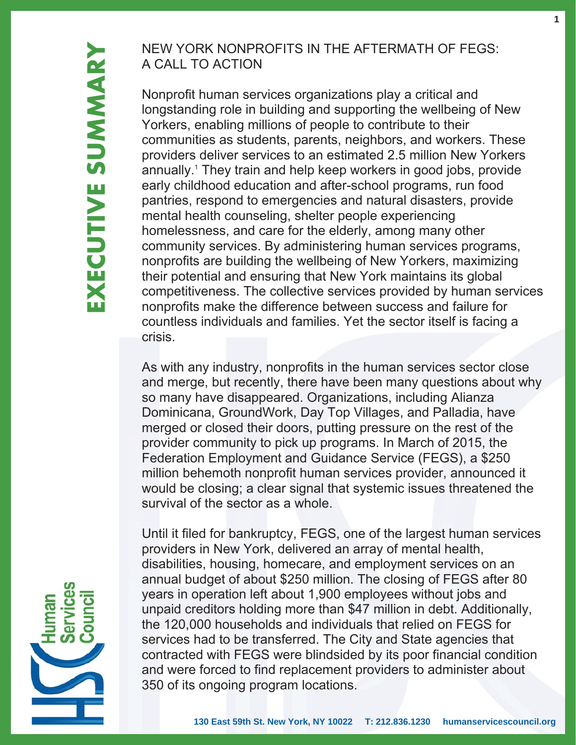## NEW YORK NONPROFITS IN THE AFTERMATH OF FEGS: A CALL TO ACTION

Nonprofit human services organizations play a critical and longstanding role in building and supporting the wellbeing of New Yorkers, enabling millions of people to contribute to their communities as students, parents, neighbors, and workers. These providers deliver services to an estimated 2.5 million New Yorkers annually. 1 They train and help keep workers in good jobs, provide early childhood education and after-school programs, run food pantries, respond to emergencies and natural disasters, provide mental health counseling, shelter people experiencing homelessness, and care for the elderly, among many other community services. By administering human services programs, nonprofits are building the wellbeing of New Yorkers, maximizing their potential and ensuring that New York maintains its global competitiveness. The collective services provided by human services nonprofits make the difference between success and failure for countless individuals and families. Yet the sector itself is facing a crisis.

As with any industry, nonprofits in the human services sector close and merge, but recently, there have been many questions about why so many have disappeared. Organizations, including Alianza Dominicana, GroundWork, Day Top Villages, and Palladia, have merged or closed their doors, putting pressure on the rest of the provider community to pick up programs. In March of 2015, the Federation Employment and Guidance Service (FEGS), a \$250 million behemoth nonprofit human services provider, announced it would be closing; a clear signal that systemic issues threatened the survival of the sector as a whole.

Until it filed for bankruptcy, FEGS, one of the largest human services providers in New York, delivered an array of mental health, disabilities, housing, homecare, and employment services on an annual budget of about \$250 million. The closing of FEGS after 80 years in operation left about 1,900 employees without jobs and unpaid creditors holding more than \$47 million in debt. Additionally, the 120,000 households and individuals that relied on FEGS for services had to be transferred. The City and State agencies that contracted with FEGS were blindsided by its poor financial condition and were forced to find replacement providers to administer about 350 of its ongoing program locations.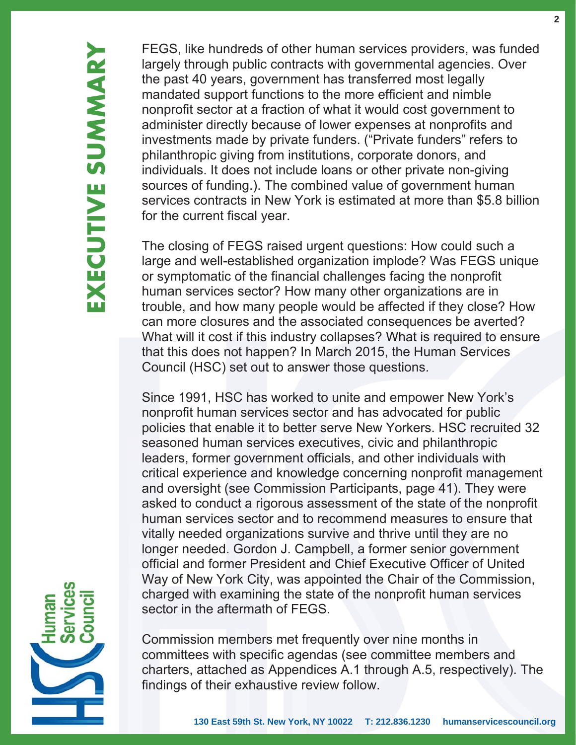FEGS, like hundreds of other human services providers, was funded largely through public contracts with governmental agencies. Over the past 40 years, government has transferred most legally mandated support functions to the more efficient and nimble nonprofit sector at a fraction of what it would cost government to administer directly because of lower expenses at nonprofits and investments made by private funders. ("Private funders" refers to philanthropic giving from institutions, corporate donors, and individuals. It does not include loans or other private non-giving sources of funding.). The combined value of government human services contracts in New York is estimated at more than \$5.8 billion for the current fiscal year.

The closing of FEGS raised urgent questions: How could such a large and well-established organization implode? Was FEGS unique or symptomatic of the financial challenges facing the nonprofit human services sector? How many other organizations are in trouble, and how many people would be affected if they close? How can more closures and the associated consequences be averted? What will it cost if this industry collapses? What is required to ensure that this does not happen? In March 2015, the Human Services Council (HSC) set out to answer those questions.

Since 1991, HSC has worked to unite and empower New York's nonprofit human services sector and has advocated for public policies that enable it to better serve New Yorkers. HSC recruited 32 seasoned human services executives, civic and philanthropic leaders, former government officials, and other individuals with critical experience and knowledge concerning nonprofit management and oversight (see Commission Participants, page 41). They were asked to conduct a rigorous assessment of the state of the nonprofit human services sector and to recommend measures to ensure that vitally needed organizations survive and thrive until they are no longer needed. Gordon J. Campbell, a former senior government official and former President and Chief Executive Officer of United Way of New York City, was appointed the Chair of the Commission, charged with examining the state of the nonprofit human services sector in the aftermath of FEGS.

Commission members met frequently over nine months in committees with specific agendas (see committee members and charters, attached as Appendices A.1 through A.5, respectively). The findings of their exhaustive review follow.

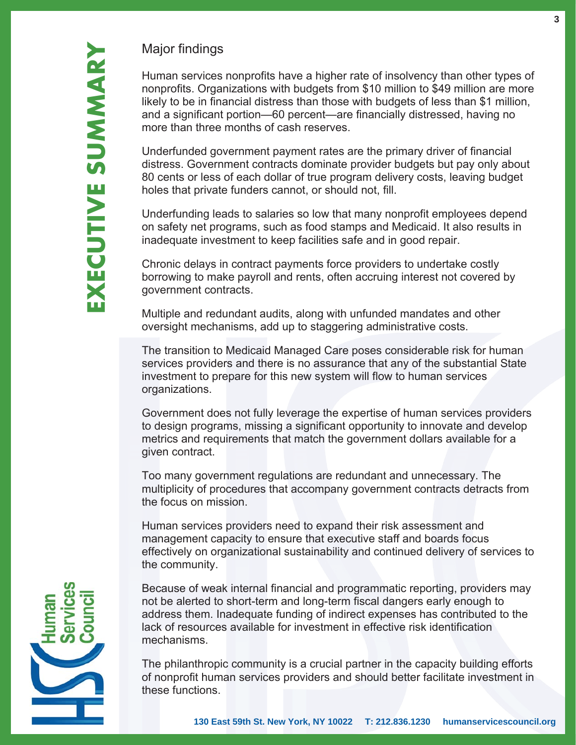### Major findings

Human services nonprofits have a higher rate of insolvency than other types of nonprofits. Organizations with budgets from \$10 million to \$49 million are more likely to be in financial distress than those with budgets of less than \$1 million, and a significant portion—60 percent—are financially distressed, having no more than three months of cash reserves.

Underfunded government payment rates are the primary driver of financial distress. Government contracts dominate provider budgets but pay only about 80 cents or less of each dollar of true program delivery costs, leaving budget holes that private funders cannot, or should not, fill.

Underfunding leads to salaries so low that many nonprofit employees depend on safety net programs, such as food stamps and Medicaid. It also results in inadequate investment to keep facilities safe and in good repair.

Chronic delays in contract payments force providers to undertake costly borrowing to make payroll and rents, often accruing interest not covered by government contracts.

Multiple and redundant audits, along with unfunded mandates and other oversight mechanisms, add up to staggering administrative costs.

The transition to Medicaid Managed Care poses considerable risk for human services providers and there is no assurance that any of the substantial State investment to prepare for this new system will flow to human services organizations.

Government does not fully leverage the expertise of human services providers to design programs, missing a significant opportunity to innovate and develop metrics and requirements that match the government dollars available for a given contract.

Too many government regulations are redundant and unnecessary. The multiplicity of procedures that accompany government contracts detracts from the focus on mission.

Human services providers need to expand their risk assessment and management capacity to ensure that executive staff and boards focus effectively on organizational sustainability and continued delivery of services to the community.

Because of weak internal financial and programmatic reporting, providers may not be alerted to short-term and long-term fiscal dangers early enough to address them. Inadequate funding of indirect expenses has contributed to the lack of resources available for investment in effective risk identification mechanisms.

The philanthropic community is a crucial partner in the capacity building efforts of nonprofit human services providers and should better facilitate investment in these functions.

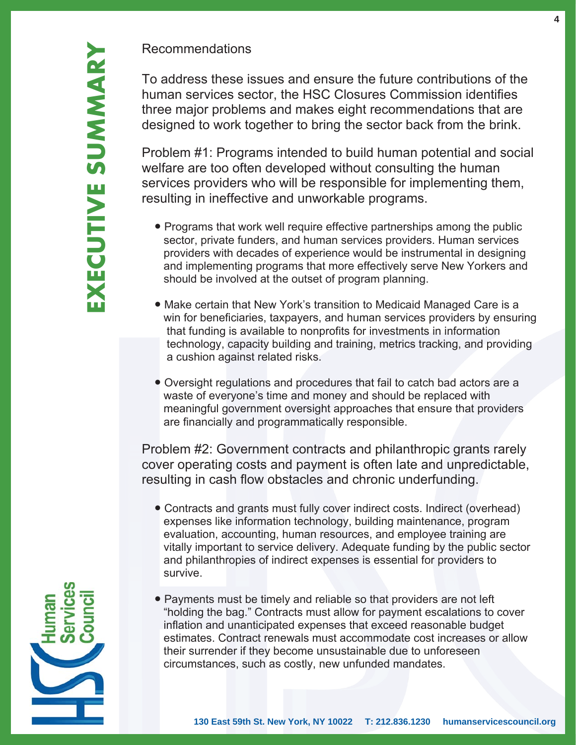#### Recommendations

Problem #1: Programs intended to build human potential and social welfare are too often developed without consulting the human services providers who will be responsible for implementing them, resulting in ineffective and unworkable programs.

- Programs that work well require effective partnerships among the public sector, private funders, and human services providers. Human services providers with decades of experience would be instrumental in designing and implementing programs that more effectively serve New Yorkers and should be involved at the outset of program planning.
- Make certain that New York's transition to Medicaid Managed Care is a win for beneficiaries, taxpayers, and human services providers by ensuring that funding is available to nonprofits for investments in information technology, capacity building and training, metrics tracking, and providing a cushion against related risks.
- Oversight regulations and procedures that fail to catch bad actors are a waste of everyone's time and money and should be replaced with meaningful government oversight approaches that ensure that providers are financially and programmatically responsible.

Problem #2: Government contracts and philanthropic grants rarely cover operating costs and payment is often late and unpredictable, resulting in cash flow obstacles and chronic underfunding.

- Contracts and grants must fully cover indirect costs. Indirect (overhead) expenses like information technology, building maintenance, program evaluation, accounting, human resources, and employee training are vitally important to service delivery. Adequate funding by the public sector and philanthropies of indirect expenses is essential for providers to survive.
- Payments must be timely and reliable so that providers are not left "holding the bag." Contracts must allow for payment escalations to cover inflation and unanticipated expenses that exceed reasonable budget estimates. Contract renewals must accommodate cost increases or allow their surrender if they become unsustainable due to unforeseen circumstances, such as costly, new unfunded mandates.

**4**

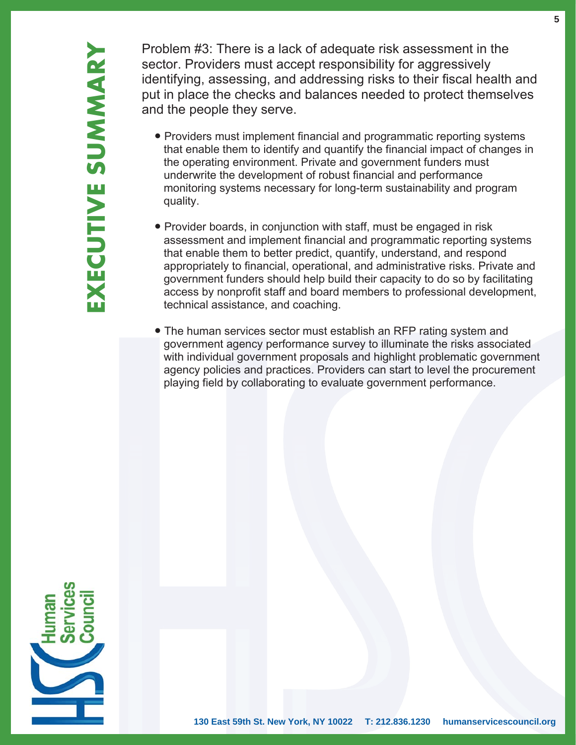Problem #3: There is a lack of adequate risk assessment in the sector. Providers must accept responsibility for aggressively identifying, assessing, and addressing risks to their fiscal health and put in place the checks and balances needed to protect themselves and the people they serve.

- Providers must implement financial and programmatic reporting systems that enable them to identify and quantify the financial impact of changes in the operating environment. Private and government funders must underwrite the development of robust financial and performance monitoring systems necessary for long-term sustainability and program quality.
- Provider boards, in conjunction with staff, must be engaged in risk assessment and implement financial and programmatic reporting systems that enable them to better predict, quantify, understand, and respond appropriately to financial, operational, and administrative risks. Private and government funders should help build their capacity to do so by facilitating access by nonprofit staff and board members to professional development. technical assistance, and coaching.
- The human services sector must establish an RFP rating system and government agency performance survey to illuminate the risks associated with individual government proposals and highlight problematic government agency policies and practices. Providers can start to level the procurement playing field by collaborating to evaluate government performance.

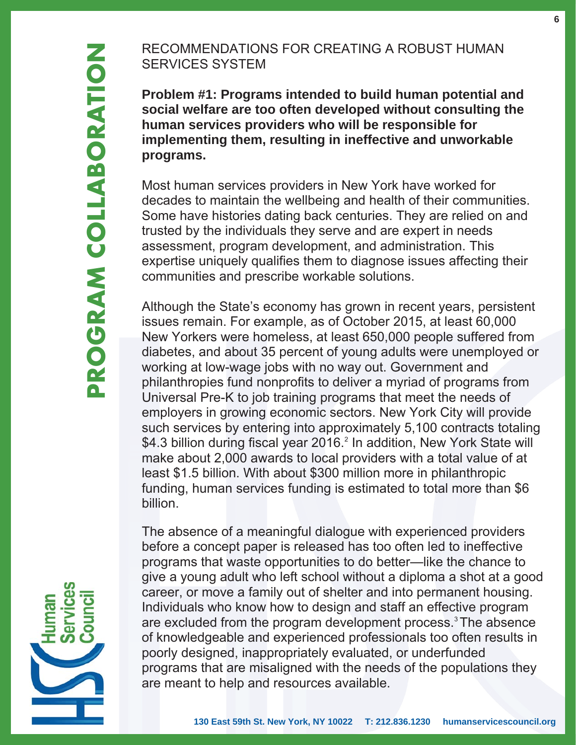## RECOMMENDATIONS FOR CREATING A ROBUST HUMAN SERVICES SYSTEM

**Problem #1: Programs intended to build human potential and social welfare are too often developed without consulting the human services providers who will be responsible for implementing them, resulting in ineffective and unworkable programs.** 

Most human services providers in New York have worked for decades to maintain the wellbeing and health of their communities. Some have histories dating back centuries. They are relied on and trusted by the individuals they serve and are expert in needs assessment, program development, and administration. This expertise uniquely qualifies them to diagnose issues affecting their communities and prescribe workable solutions.

Although the State's economy has grown in recent years, persistent issues remain. For example, as of October 2015, at least 60,000 New Yorkers were homeless, at least 650,000 people suffered from diabetes, and about 35 percent of young adults were unemployed or working at low-wage jobs with no way out. Government and philanthropies fund nonprofits to deliver a myriad of programs from Universal Pre-K to job training programs that meet the needs of employers in growing economic sectors. New York City will provide such services by entering into approximately 5,100 contracts totaling \$4.3 billion during fiscal year 2016.<sup>2</sup> In addition, New York State will make about 2,000 awards to local providers with a total value of at least \$1.5 billion. With about \$300 million more in philanthropic funding, human services funding is estimated to total more than \$6 billion.

The absence of a meaningful dialogue with experienced providers before a concept paper is released has too often led to ineffective programs that waste opportunities to do better—like the chance to give a young adult who left school without a diploma a shot at a good career, or move a family out of shelter and into permanent housing. Individuals who know how to design and staff an effective program are excluded from the program development process.<sup>3</sup> The absence of knowledgeable and experienced professionals too often results in poorly designed, inappropriately evaluated, or underfunded programs that are misaligned with the needs of the populations they are meant to help and resources available.

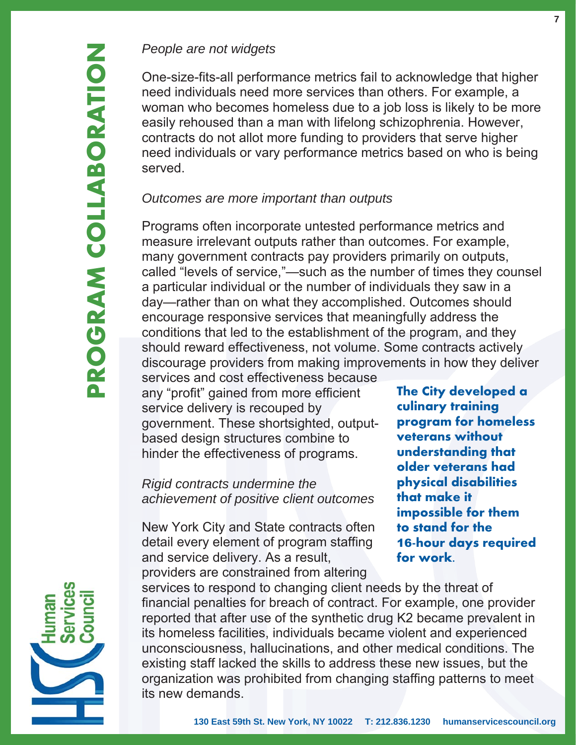## *People are not widgets*

One-size-fits-all performance metrics fail to acknowledge that higher need individuals need more services than others. For example, a woman who becomes homeless due to a job loss is likely to be more easily rehoused than a man with lifelong schizophrenia. However, contracts do not allot more funding to providers that serve higher need individuals or vary performance metrics based on who is being served.

#### *Outcomes are more important than outputs*

Programs often incorporate untested performance metrics and measure irrelevant outputs rather than outcomes. For example, many government contracts pay providers primarily on outputs, called "levels of service,"—such as the number of times they counsel a particular individual or the number of individuals they saw in a day—rather than on what they accomplished. Outcomes should encourage responsive services that meaningfully address the conditions that led to the establishment of the program, and they should reward effectiveness, not volume. Some contracts actively discourage providers from making improvements in how they deliver

services and cost effectiveness because any "profit" gained from more efficient service delivery is recouped by government. These shortsighted, outputbased design structures combine to hinder the effectiveness of programs.

*Rigid contracts undermine the achievement of positive client outcomes*

New York City and State contracts often detail every element of program staffing and service delivery. As a result, providers are constrained from altering

**The City developed a culinary training program for homeless veterans without understanding that older veterans had physical disabilities that make it impossible for them to stand for the** 16**-hour days required for work.**

services to respond to changing client needs by the threat of financial penalties for breach of contract. For example, one provider reported that after use of the synthetic drug K2 became prevalent in its homeless facilities, individuals became violent and experienced unconsciousness, hallucinations, and other medical conditions. The existing staff lacked the skills to address these new issues, but the organization was prohibited from changing staffing patterns to meet its new demands.

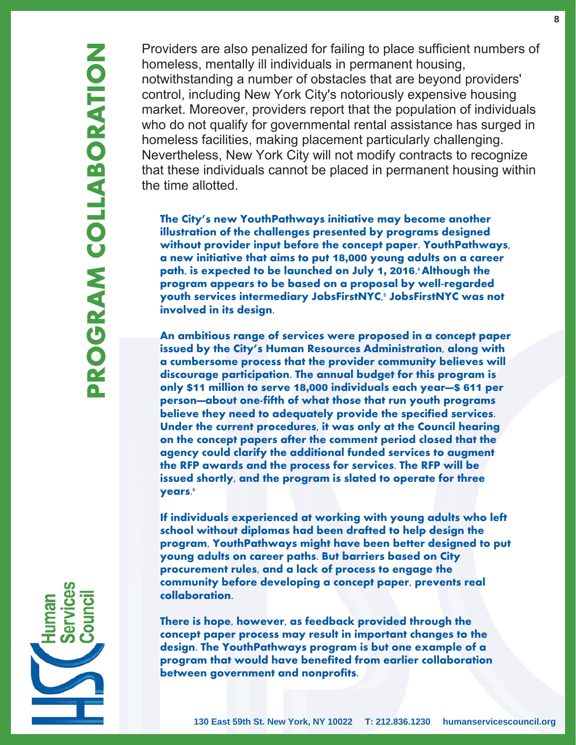Providers are also penalized for failing to place sufficient numbers of homeless, mentally ill individuals in permanent housing, notwithstanding a number of obstacles that are beyond providers' control, including New York City's notoriously expensive housing market. Moreover, providers report that the population of individuals who do not qualify for governmental rental assistance has surged in homeless facilities, making placement particularly challenging. Nevertheless, New York City will not modify contracts to recognize that these individuals cannot be placed in permanent housing within the time allotted.

**The City's new YouthPathways initiative may become another illustration of the challenges presented by programs designed without provider input before the concept paper. YouthPathways, a new initiative that aims to put** 18,000 **young adults on a career path, is expected to be launched on July** 1, 2016 **. <sup>4</sup>Although the program appears to be based on a proposal by well-regarded youth services intermediary JobsFirstNYC, 5 JobsFirstNYC was not involved in its design.** 

**An ambitious range of services were proposed in a concept paper issued by the City's Human Resources Administration, along with a cumbersome process that the provider community believes will discourage participation. The annual budget for this program is only** \$11 **million to serve** 18,000 **individuals each year—**\$ 611 **per person—about one-fifth of what those that run youth programs believe they need to adequately provide the specified services. Under the current procedures, it was only at the Council hearing on the concept papers after the comment period closed that the agency could clarify the additional funded services to augment the RFP awards and the process for services. The RFP will be issued shortly, and the program is slated to operate for three years. 6**

**If individuals experienced at working with young adults who left school without diplomas had been drafted to help design the program, YouthPathways might have been better designed to put young adults on career paths. But barriers based on City procurement rules, and a lack of process to engage the community before developing a concept paper, prevents real collaboration.**

**There is hope, however, as feedback provided through the concept paper process may result in important changes to the design. The YouthPathways program is but one example of a program that would have benefited from earlier collaboration between government and nonprofits.**

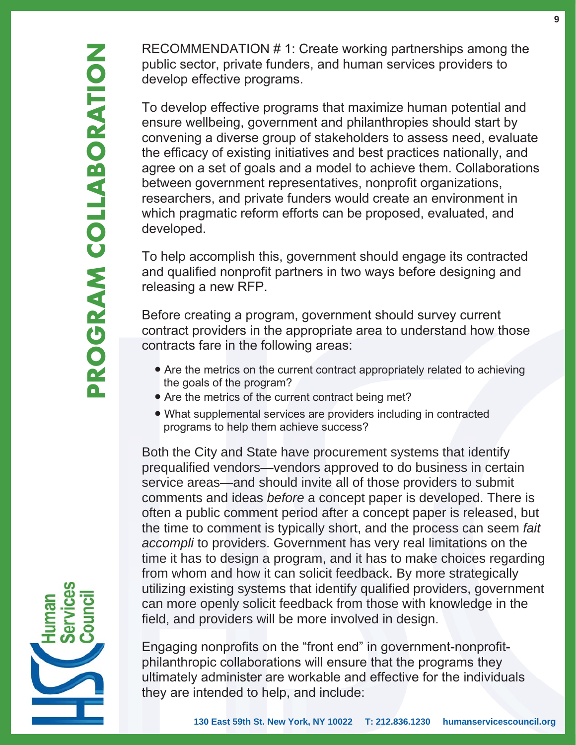RECOMMENDATION # 1: Create working partnerships among the public sector, private funders, and human services providers to develop effective programs.

To develop effective programs that maximize human potential and ensure wellbeing, government and philanthropies should start by convening a diverse group of stakeholders to assess need, evaluate the efficacy of existing initiatives and best practices nationally, and agree on a set of goals and a model to achieve them. Collaborations between government representatives, nonprofit organizations, researchers, and private funders would create an environment in which pragmatic reform efforts can be proposed, evaluated, and developed.

To help accomplish this, government should engage its contracted and qualified nonprofit partners in two ways before designing and releasing a new RFP.

Before creating a program, government should survey current contract providers in the appropriate area to understand how those contracts fare in the following areas:

- Are the metrics on the current contract appropriately related to achieving the goals of the program?
- Are the metrics of the current contract being met?
- What supplemental services are providers including in contracted programs to help them achieve success?

Both the City and State have procurement systems that identify prequalified vendors—vendors approved to do business in certain service areas—and should invite all of those providers to submit comments and ideas *before* a concept paper is developed. There is often a public comment period after a concept paper is released, but the time to comment is typically short, and the process can seem *fait accompli* to providers. Government has very real limitations on the time it has to design a program, and it has to make choices regarding from whom and how it can solicit feedback. By more strategically utilizing existing systems that identify qualified providers, government can more openly solicit feedback from those with knowledge in the field, and providers will be more involved in design.

Engaging nonprofits on the "front end" in government-nonprofitphilanthropic collaborations will ensure that the programs they ultimately administer are workable and effective for the individuals they are intended to help, and include:

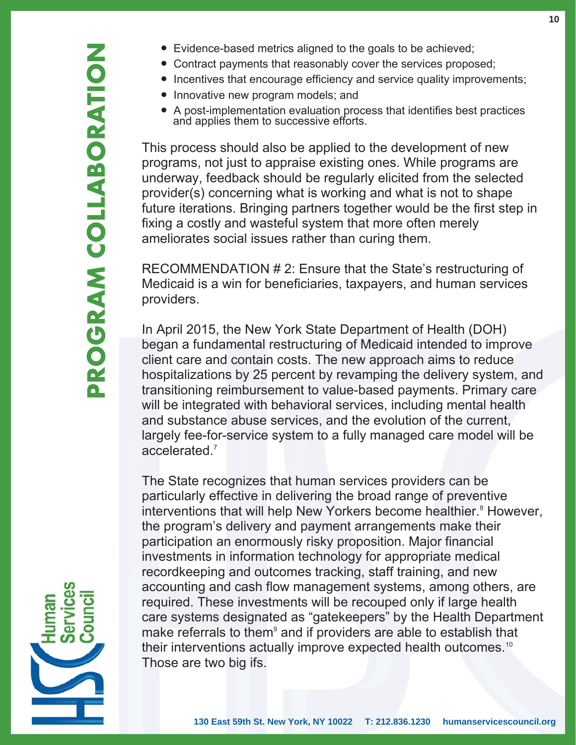- Evidence-based metrics aligned to the goals to be achieved;
- Contract payments that reasonably cover the services proposed;
- Incentives that encourage efficiency and service quality improvements;
- Innovative new program models; and
- A post-implementation evaluation process that identifies best practices and applies them to successive efforts.

This process should also be applied to the development of new programs, not just to appraise existing ones. While programs are underway, feedback should be regularly elicited from the selected provider(s) concerning what is working and what is not to shape future iterations. Bringing partners together would be the first step in fixing a costly and wasteful system that more often merely ameliorates social issues rather than curing them.

RECOMMENDATION # 2: Ensure that the State's restructuring of Medicaid is a win for beneficiaries, taxpayers, and human services providers.

In April 2015, the New York State Department of Health (DOH) began a fundamental restructuring of Medicaid intended to improve client care and contain costs. The new approach aims to reduce hospitalizations by 25 percent by revamping the delivery system, and transitioning reimbursement to value-based payments. Primary care will be integrated with behavioral services, including mental health and substance abuse services, and the evolution of the current, largely fee-for-service system to a fully managed care model will be accelerated. 7

The State recognizes that human services providers can be particularly effective in delivering the broad range of preventive interventions that will help New Yorkers become healthier.<sup>8</sup> However, the program's delivery and payment arrangements make their participation an enormously risky proposition. Major financial investments in information technology for appropriate medical recordkeeping and outcomes tracking, staff training, and new accounting and cash flow management systems, among others, are required. These investments will be recouped only if large health care systems designated as "gatekeepers" by the Health Department make referrals to them<sup>9</sup> and if providers are able to establish that their interventions actually improve expected health outcomes.<sup>10</sup> Those are two big ifs.

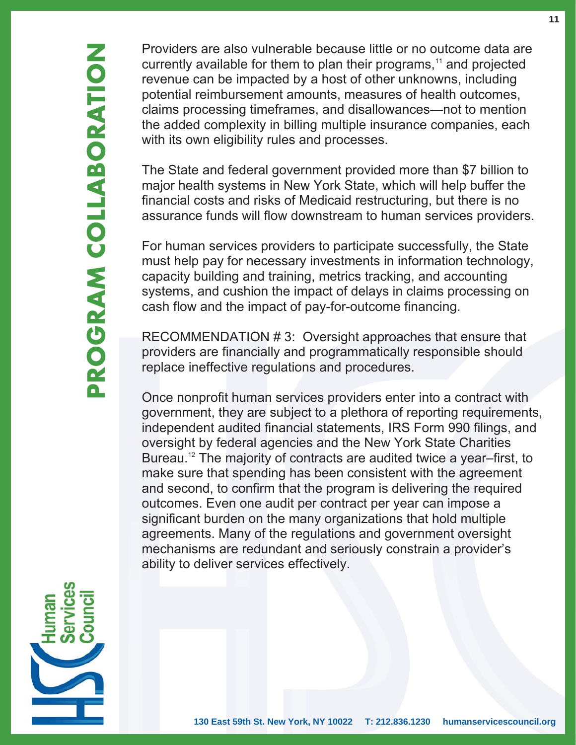Providers are also vulnerable because little or no outcome data are currently available for them to plan their programs,<sup>11</sup> and projected revenue can be impacted by a host of other unknowns, including potential reimbursement amounts, measures of health outcomes, claims processing timeframes, and disallowances—not to mention the added complexity in billing multiple insurance companies, each with its own eligibility rules and processes.

The State and federal government provided more than \$7 billion to major health systems in New York State, which will help buffer the financial costs and risks of Medicaid restructuring, but there is no assurance funds will flow downstream to human services providers.

For human services providers to participate successfully, the State must help pay for necessary investments in information technology, capacity building and training, metrics tracking, and accounting systems, and cushion the impact of delays in claims processing on cash flow and the impact of pay-for-outcome financing.

RECOMMENDATION # 3: Oversight approaches that ensure that providers are financially and programmatically responsible should replace ineffective regulations and procedures.

Once nonprofit human services providers enter into a contract with government, they are subject to a plethora of reporting requirements, independent audited financial statements, IRS Form 990 filings, and oversight by federal agencies and the New York State Charities Bureau.<sup>12</sup> The majority of contracts are audited twice a year–first, to make sure that spending has been consistent with the agreement and second, to confirm that the program is delivering the required outcomes. Even one audit per contract per year can impose a significant burden on the many organizations that hold multiple agreements. Many of the regulations and government oversight mechanisms are redundant and seriously constrain a provider's ability to deliver services effectively.

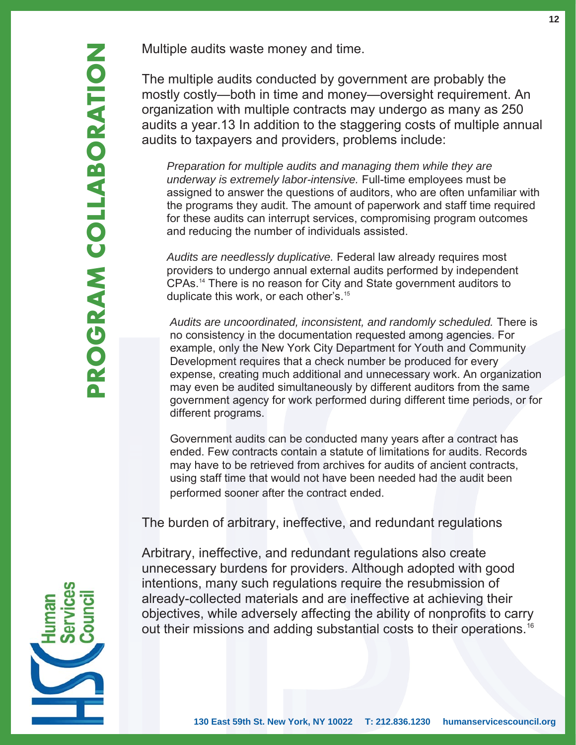The multiple audits conducted by government are probably the mostly costly—both in time and money—oversight requirement. An organization with multiple contracts may undergo as many as 250 audits a year.13 In addition to the staggering costs of multiple annual audits to taxpayers and providers, problems include:

 *Preparation for multiple audits and managing them while they are underway is extremely labor-intensive.* Full-time employees must be assigned to answer the questions of auditors, who are often unfamiliar with the programs they audit. The amount of paperwork and staff time required for these audits can interrupt services, compromising program outcomes and reducing the number of individuals assisted.

 *Audits are needlessly duplicative.* Federal law already requires most providers to undergo annual external audits performed by independent CPAs.14 There is no reason for City and State government auditors to duplicate this work, or each other's.15

 *Audits are uncoordinated, inconsistent, and randomly scheduled.* There is no consistency in the documentation requested among agencies. For example, only the New York City Department for Youth and Community Development requires that a check number be produced for every expense, creating much additional and unnecessary work. An organization may even be audited simultaneously by different auditors from the same government agency for work performed during different time periods, or for different programs.

 Government audits can be conducted many years after a contract has ended. Few contracts contain a statute of limitations for audits. Records may have to be retrieved from archives for audits of ancient contracts, using staff time that would not have been needed had the audit been performed sooner after the contract ended.

The burden of arbitrary, ineffective, and redundant regulations

Arbitrary, ineffective, and redundant regulations also create unnecessary burdens for providers. Although adopted with good intentions, many such regulations require the resubmission of already-collected materials and are ineffective at achieving their objectives, while adversely affecting the ability of nonprofits to carry out their missions and adding substantial costs to their operations.16

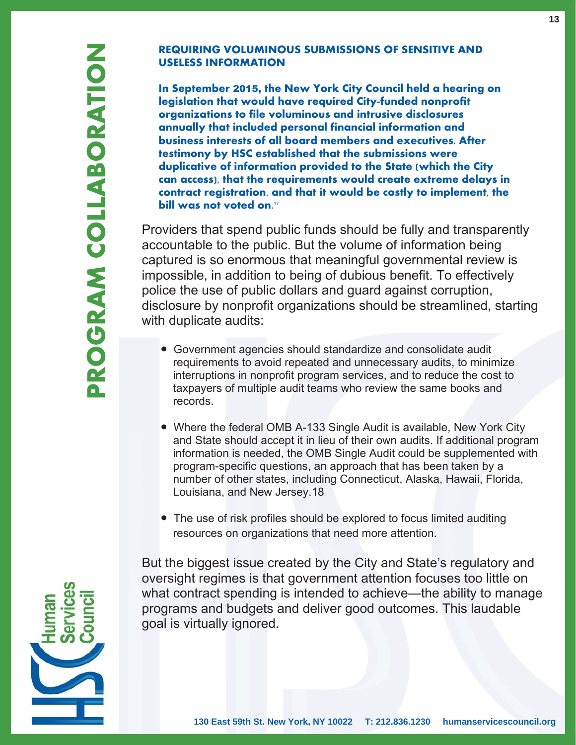#### **REQUIRING VOLUMINOUS SUBMISSIONS OF SENSITIVE AND USELESS INFORMATION**

**In September** 2015, **the New York City Council held a hearing on legislation that would have required City-funded nonprofit organizations to file voluminous and intrusive disclosures annually that included personal financial information and business interests of all board members and executives. After testimony by HSC established that the submissions were duplicative of information provided to the State (which the City can access), that the requirements would create extreme delays in contract registration, and that it would be costly to implement, the bill was not voted on.**<sup>17</sup>

Providers that spend public funds should be fully and transparently accountable to the public. But the volume of information being captured is so enormous that meaningful governmental review is impossible, in addition to being of dubious benefit. To effectively police the use of public dollars and guard against corruption, disclosure by nonprofit organizations should be streamlined, starting with duplicate audits:

- Government agencies should standardize and consolidate audit requirements to avoid repeated and unnecessary audits, to minimize interruptions in nonprofit program services, and to reduce the cost to taxpayers of multiple audit teams who review the same books and records.
- Where the federal OMB A-133 Single Audit is available, New York City and State should accept it in lieu of their own audits. If additional program information is needed, the OMB Single Audit could be supplemented with program-specific questions, an approach that has been taken by a number of other states, including Connecticut, Alaska, Hawaii, Florida, Louisiana, and New Jersey 18
- The use of risk profiles should be explored to focus limited auditing resources on organizations that need more attention.

But the biggest issue created by the City and State's regulatory and oversight regimes is that government attention focuses too little on what contract spending is intended to achieve—the ability to manage programs and budgets and deliver good outcomes. This laudable goal is virtually ignored.

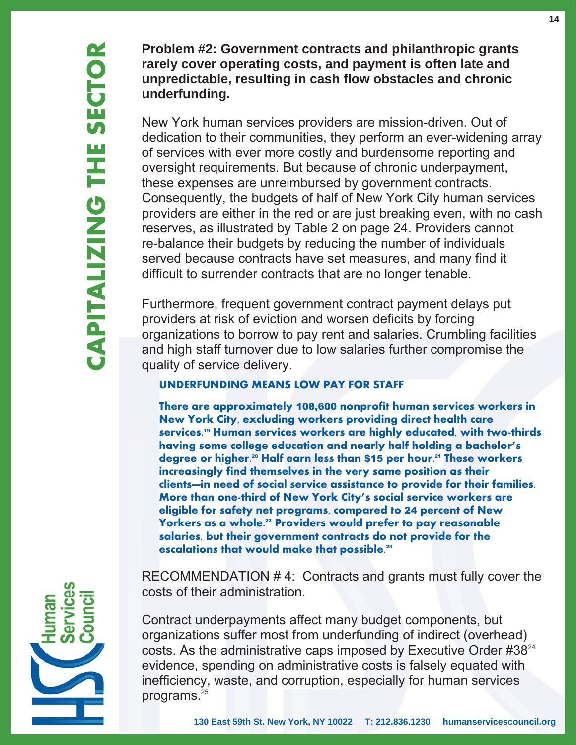**Problem #2: Government contracts and philanthropic grants rarely cover operating costs, and payment is often late and unpredictable, resulting in cash flow obstacles and chronic underfunding.**

New York human services providers are mission-driven. Out of dedication to their communities, they perform an ever-widening array of services with ever more costly and burdensome reporting and oversight requirements. But because of chronic underpayment, these expenses are unreimbursed by government contracts. Consequently, the budgets of half of New York City human services providers are either in the red or are just breaking even, with no cash reserves, as illustrated by Table 2 on page 24. Providers cannot re-balance their budgets by reducing the number of individuals served because contracts have set measures, and many find it difficult to surrender contracts that are no longer tenable.

Furthermore, frequent government contract payment delays put providers at risk of eviction and worsen deficits by forcing organizations to borrow to pay rent and salaries. Crumbling facilities and high staff turnover due to low salaries further compromise the quality of service delivery.

#### **UNDERFUNDING MEANS LOW PAY FOR STAFF**

**There are approximately** 108,600 **nonprofit human services workers in New York City, excluding workers providing direct health care services.**19 **Human services workers are highly educated, with two-thirds having some college education and nearly half holding a bachelor's degree or higher.**20 **Half earn less than** \$15 **per hour.**21 **These workers increasingly find themselves in the very same position as their clients—in need of social service assistance to provide for their families. More than one-third of New York City's social service workers are eligible for safety net programs, compared to** 24 **percent of New Yorkers as a whole.**22 **Providers would prefer to pay reasonable salaries, but their government contracts do not provide for the escalations that would make that possible.**<sup>23</sup>

RECOMMENDATION # 4: Contracts and grants must fully cover the costs of their administration.

Contract underpayments affect many budget components, but organizations suffer most from underfunding of indirect (overhead) costs. As the administrative caps imposed by Executive Order #3824 evidence, spending on administrative costs is falsely equated with inefficiency, waste, and corruption, especially for human services programs.<sup>25</sup>

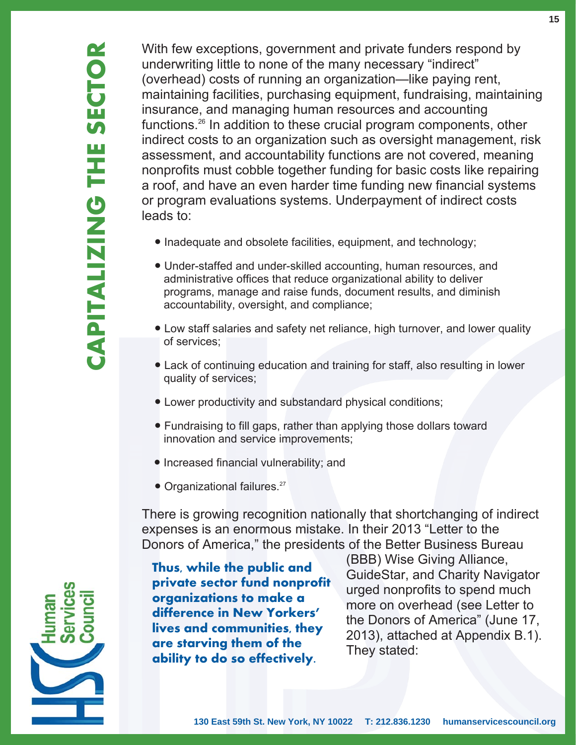With few exceptions, government and private funders respond by underwriting little to none of the many necessary "indirect" (overhead) costs of running an organization—like paying rent, maintaining facilities, purchasing equipment, fundraising, maintaining insurance, and managing human resources and accounting functions.26 In addition to these crucial program components, other indirect costs to an organization such as oversight management, risk assessment, and accountability functions are not covered, meaning nonprofits must cobble together funding for basic costs like repairing a roof, and have an even harder time funding new financial systems or program evaluations systems. Underpayment of indirect costs leads to:

- Inadequate and obsolete facilities, equipment, and technology;
	- Under-staffed and under-skilled accounting, human resources, and administrative offices that reduce organizational ability to deliver programs, manage and raise funds, document results, and diminish accountability, oversight, and compliance;
	- Low staff salaries and safety net reliance, high turnover, and lower quality of services:
	- Lack of continuing education and training for staff, also resulting in lower quality of services;
	- Lower productivity and substandard physical conditions;
	- Fundraising to fill gaps, rather than applying those dollars toward innovation and service improvements;
	- $\bullet$  Increased financial vulnerability; and
	- Organizational failures.<sup>27</sup>

There is growing recognition nationally that shortchanging of indirect expenses is an enormous mistake. In their 2013 "Letter to the Donors of America," the presidents of the Better Business Bureau

They stated: **Thus, while the public and private sector fund nonprofit organizations to make a difference in New Yorkers' lives and communities, they are starving them of the ability to do so effectively.**

 (BBB) Wise Giving Alliance, GuideStar, and Charity Navigator urged nonprofits to spend much more on overhead (see Letter to the Donors of America" (June 17, 2013), attached at Appendix B.1).

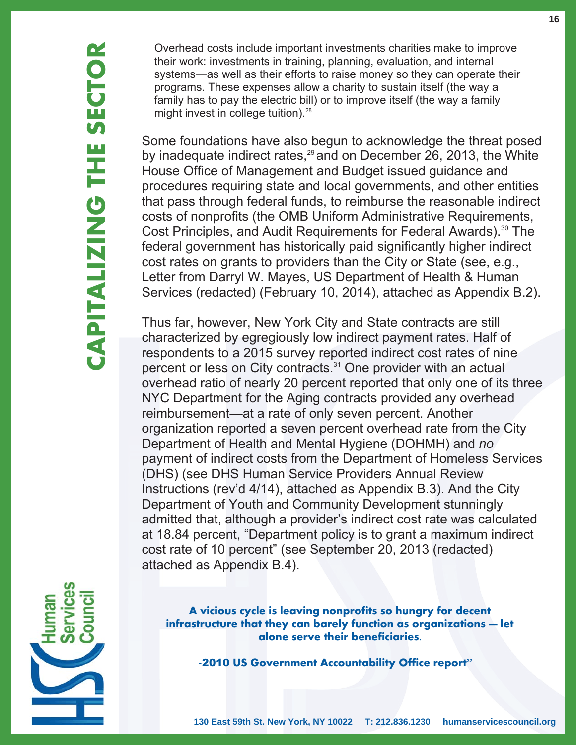Overhead costs include important investments charities make to improve their work: investments in training, planning, evaluation, and internal systems—as well as their efforts to raise money so they can operate their programs. These expenses allow a charity to sustain itself (the way a family has to pay the electric bill) or to improve itself (the way a family might invest in college tuition).<sup>28</sup>

Some foundations have also begun to acknowledge the threat posed by inadequate indirect rates, $29$  and on December 26, 2013, the White House Office of Management and Budget issued guidance and procedures requiring state and local governments, and other entities that pass through federal funds, to reimburse the reasonable indirect costs of nonprofits (the OMB Uniform Administrative Requirements, Cost Principles, and Audit Requirements for Federal Awards).<sup>30</sup> The federal government has historically paid significantly higher indirect cost rates on grants to providers than the City or State (see, e.g., Letter from Darryl W. Mayes, US Department of Health & Human Services (redacted) (February 10, 2014), attached as Appendix B.2).

Thus far, however, New York City and State contracts are still characterized by egregiously low indirect payment rates. Half of respondents to a 2015 survey reported indirect cost rates of nine percent or less on City contracts.<sup>31</sup> One provider with an actual overhead ratio of nearly 20 percent reported that only one of its three NYC Department for the Aging contracts provided any overhead reimbursement—at a rate of only seven percent. Another organization reported a seven percent overhead rate from the City Department of Health and Mental Hygiene (DOHMH) and *no* payment of indirect costs from the Department of Homeless Services (DHS) (see DHS Human Service Providers Annual Review Instructions (rev'd 4/14), attached as Appendix B.3). And the City Department of Youth and Community Development stunningly admitted that, although a provider's indirect cost rate was calculated at 18.84 percent, "Department policy is to grant a maximum indirect cost rate of 10 percent" (see September 20, 2013 (redacted) attached as Appendix B.4).



**A vicious cycle is leaving nonprofits so hungry for decent infrastructure that they can barely function as organizations — let alone serve their beneficiaries.**

**-**2010 **US Government Accountability Office report<sup>32</sup>**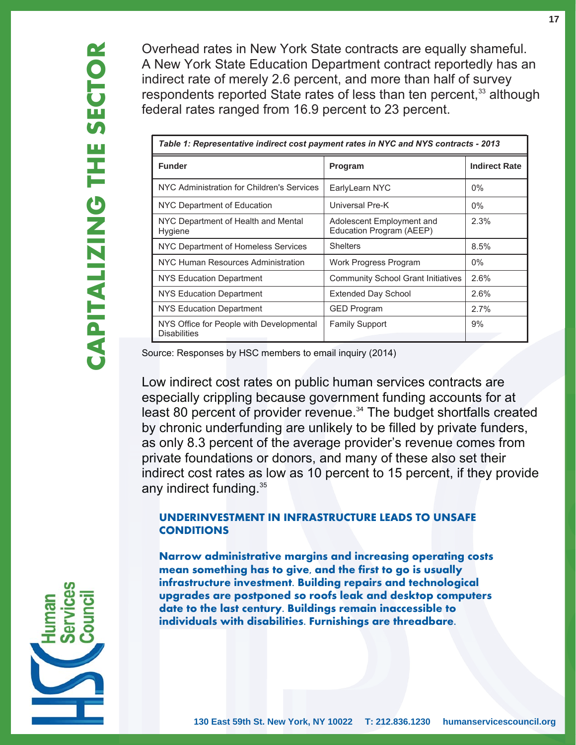Overhead rates in New York State contracts are equally shameful. A New York State Education Department contract reportedly has an indirect rate of merely 2.6 percent, and more than half of survey respondents reported State rates of less than ten percent,<sup>33</sup> although federal rates ranged from 16.9 percent to 23 percent.

| Table 1: Representative indirect cost payment rates in NYC and NYS contracts - 2013 |                                                       |                      |  |
|-------------------------------------------------------------------------------------|-------------------------------------------------------|----------------------|--|
| <b>Funder</b>                                                                       | Program                                               | <b>Indirect Rate</b> |  |
| NYC Administration for Children's Services                                          | EarlyLearn NYC                                        | $0\%$                |  |
| NYC Department of Education                                                         | Universal Pre-K                                       | $0\%$                |  |
| NYC Department of Health and Mental<br>Hygiene                                      | Adolescent Employment and<br>Education Program (AEEP) | 2.3%                 |  |
| NYC Department of Homeless Services                                                 | <b>Shelters</b>                                       | 8.5%                 |  |
| NYC Human Resources Administration                                                  | Work Progress Program                                 | $0\%$                |  |
| NYS Education Department                                                            | <b>Community School Grant Initiatives</b>             | 2.6%                 |  |
| NYS Education Department                                                            | <b>Extended Day School</b>                            | 2.6%                 |  |
| NYS Education Department                                                            | <b>GED Program</b>                                    | 2.7%                 |  |
| NYS Office for People with Developmental<br><b>Disabilities</b>                     | <b>Family Support</b>                                 | 9%                   |  |

Source: Responses by HSC members to email inquiry (2014)

Low indirect cost rates on public human services contracts are Low indirect cost rates on public human services contracts are<br>especially crippling because government funding accounts for at especially crippling because government funding accounts for at<br>least 80 percent of provider revenue.<sup>34</sup> The budget shortfalls created<br>by chronic underfunding are unlikely to be filled by private funders, by chronic underfunding are unlikely to be filled by private funders, as only 8.3 percent of the average provider's revenue comes from private foundations or donors, and many of these also set their<br>indirect cost rates as low as 10 percent to 15 percent, if they pr indirect cost rates as low as 10 percent to 15 percent, if they provide<br>any indirect funding.<sup>35</sup> Source: Responses by HSC members to em<br>Low indirect cost rates on public<br>especially crippling because gov<br>least 80 percent of provider reve<br>by chronic underfunding are unl<br>as only 8.3 percent of the avera<br>private foundatio y indirect funding.<sup>35</sup>

#### **UNDERINVESTMENT IN INFRASTRUCTURE LEADS TO UNSAFE CONDITIONS**

**Narrow administrative margins and increasing operating costs mean something has to give, and the first to go is usually infrastructure investment. Building repairs and technological upgrades are postponed so roofs leak and desktop computers date to the last century. Buildings remain inaccessible to individuals with disabilities. Furnishings are threadbare.**

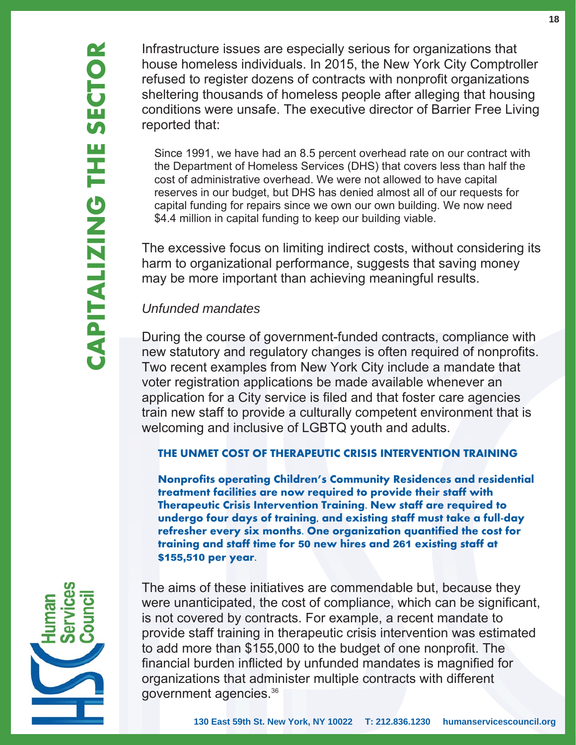Infrastructure issues are especially serious for organizations that house homeless individuals. In 2015, the New York City Comptroller refused to register dozens of contracts with nonprofit organizations sheltering thousands of homeless people after alleging that housing conditions were unsafe. The executive director of Barrier Free Living reported that:

 Since 1991, we have had an 8.5 percent overhead rate on our contract with the Department of Homeless Services (DHS) that covers less than half the cost of administrative overhead. We were not allowed to have capital reserves in our budget, but DHS has denied almost all of our requests for capital funding for repairs since we own our own building. We now need \$4.4 million in capital funding to keep our building viable.

The excessive focus on limiting indirect costs, without considering its harm to organizational performance, suggests that saving money may be more important than achieving meaningful results.

## *Unfunded mandates*

During the course of government-funded contracts, compliance with new statutory and regulatory changes is often required of nonprofits. Two recent examples from New York City include a mandate that voter registration applications be made available whenever an application for a City service is filed and that foster care agencies train new staff to provide a culturally competent environment that is welcoming and inclusive of LGBTQ youth and adults.

#### **THE UNMET COST OF THERAPEUTIC CRISIS INTERVENTION TRAINING**

**Nonprofits operating Children's Community Residences and residential treatment facilities are now required to provide their staff with Therapeutic Crisis Intervention Training. New staff are required to undergo four days of training, and existing staff must take a full-day refresher every six months. One organization quantified the cost for training and staff time for** 50 **new hires and** 261 **existing staff at** \$155,510 **per year.**



The aims of these initiatives are commendable but, because they were unanticipated, the cost of compliance, which can be significant, is not covered by contracts. For example, a recent mandate to provide staff training in therapeutic crisis intervention was estimated to add more than \$155,000 to the budget of one nonprofit. The financial burden inflicted by unfunded mandates is magnified for organizations that administer multiple contracts with different government agencies.36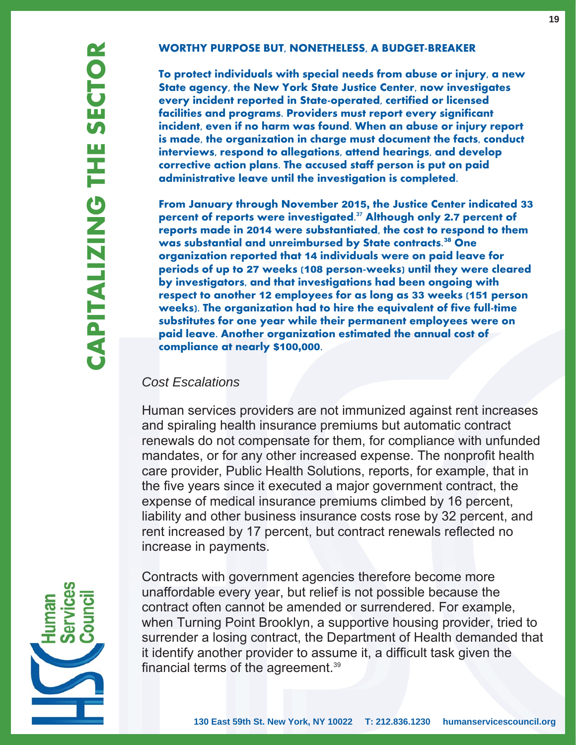#### **WORTHY PURPOSE BUT, NONETHELESS, A BUDGET-BREAKER**

**To protect individuals with special needs from abuse or injury, a new State agency, the New York State Justice Center, now investigates every incident reported in State-operated, certified or licensed facilities and programs. Providers must report every significant incident, even if no harm was found. When an abuse or injury report is made, the organization in charge must document the facts, conduct interviews, respond to allegations, attend hearings, and develop corrective action plans. The accused staff person is put on paid administrative leave until the investigation is completed.** 

**From January through November** 2015, **the Justice Center indicated** 33 **percent of reports were investigated.<sup>37</sup> Although only** 2.7 **percent of reports made in** 2014 **were substantiated, the cost to respond to them was substantial and unreimbursed by State contracts.**<sup>38</sup> **One organization reported that** 14 **individuals were on paid leave for periods of up to** 27 **weeks (**108 **person-weeks) until they were cleared by investigators, and that investigations had been ongoing with respect to another** 12 **employees for as long as** 33 **weeks (**151 **person weeks). The organization had to hire the equivalent of five full-time substitutes for one year while their permanent employees were on paid leave. Another organization estimated the annual cost of compliance at nearly** \$100,000 **.**

#### *Cost Escalations*

Human services providers are not immunized against rent increases and spiraling health insurance premiums but automatic contract renewals do not compensate for them, for compliance with unfunded mandates, or for any other increased expense. The nonprofit health care provider, Public Health Solutions, reports, for example, that in the five years since it executed a major government contract, the expense of medical insurance premiums climbed by 16 percent, liability and other business insurance costs rose by 32 percent, and rent increased by 17 percent, but contract renewals reflected no increase in payments.



**CAPITALIZING THE SECTOR**

CAPITALIZING

HE

SECTOR

Contracts with government agencies therefore become more unaffordable every year, but relief is not possible because the contract often cannot be amended or surrendered. For example, when Turning Point Brooklyn, a supportive housing provider, tried to surrender a losing contract, the Department of Health demanded that it identify another provider to assume it, a difficult task given the financial terms of the agreement.39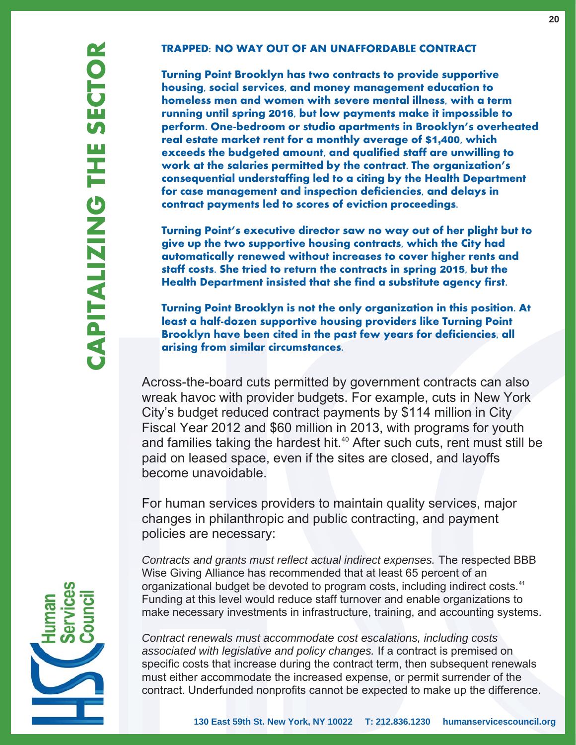#### **TRAPPED: NO WAY OUT OF AN UNAFFORDABLE CONTRACT**

**Turning Point Brooklyn has two contracts to provide supportive housing, social services, and money management education to homeless men and women with severe mental illness, with a term running until spring** 2016**, but low payments make it impossible to perform. One-bedroom or studio apartments in Brooklyn's overheated real estate market rent for a monthly average of** \$1,400**, which exceeds the budgeted amount, and qualified staff are unwilling to work at the salaries permitted by the contract. The organization's consequential understaffing led to a citing by the Health Department for case management and inspection deficiencies, and delays in contract payments led to scores of eviction proceedings.** 

**Turning Point's executive director saw no way out of her plight but to give up the two supportive housing contracts, which the City had automatically renewed without increases to cover higher rents and staff costs. She tried to return the contracts in spring** 2015**, but the Health Department insisted that she find a substitute agency first.**

**Turning Point Brooklyn is not the only organization in this position. At least a half-dozen supportive housing providers like Turning Point Brooklyn have been cited in the past few years for deficiencies, all arising from similar circumstances.**

Across-the-board cuts permitted by government contracts can also wreak havoc with provider budgets. For example, cuts in New York City's budget reduced contract payments by \$114 million in City Fiscal Year 2012 and \$60 million in 2013, with programs for youth and families taking the hardest hit.<sup>40</sup> After such cuts, rent must still be paid on leased space, even if the sites are closed, and layoffs become unavoidable.

For human services providers to maintain quality services, major changes in philanthropic and public contracting, and payment policies are necessary:

*Contracts and grants must reflect actual indirect expenses.* The respected BBB Wise Giving Alliance has recommended that at least 65 percent of an organizational budget be devoted to program costs, including indirect costs.<sup>41</sup> Funding at this level would reduce staff turnover and enable organizations to make necessary investments in infrastructure, training, and accounting systems.

*Contract renewals must accommodate cost escalations, including costs associated with legislative and policy changes.* If a contract is premised on specific costs that increase during the contract term, then subsequent renewals must either accommodate the increased expense, or permit surrender of the contract. Underfunded nonprofits cannot be expected to make up the difference.



**CAPITALIZING THE SECTOR**

**CAPITALIZING THE** 

SECTOR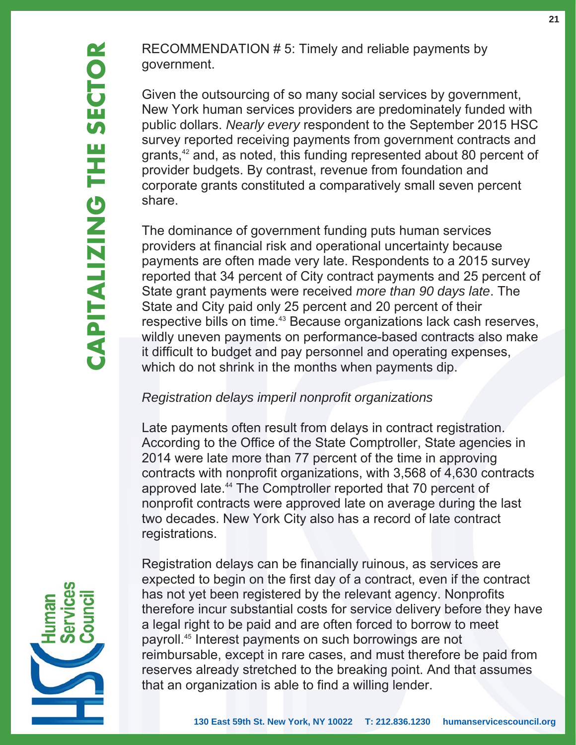RECOMMENDATION # 5: Timely and reliable payments by government.

Given the outsourcing of so many social services by government, New York human services providers are predominately funded with public dollars. *Nearly every* respondent to the September 2015 HSC survey reported receiving payments from government contracts and grants,<sup>42</sup> and, as noted, this funding represented about 80 percent of provider budgets. By contrast, revenue from foundation and corporate grants constituted a comparatively small seven percent share.

The dominance of government funding puts human services providers at financial risk and operational uncertainty because payments are often made very late. Respondents to a 2015 survey reported that 34 percent of City contract payments and 25 percent of State grant payments were received *more than 90 days late*. The State and City paid only 25 percent and 20 percent of their respective bills on time.<sup>43</sup> Because organizations lack cash reserves, wildly uneven payments on performance-based contracts also make it difficult to budget and pay personnel and operating expenses, which do not shrink in the months when payments dip.

## *Registration delays imperil nonprofit organizations*

Late payments often result from delays in contract registration. According to the Office of the State Comptroller, State agencies in 2014 were late more than 77 percent of the time in approving contracts with nonprofit organizations, with 3,568 of 4,630 contracts approved late.44 The Comptroller reported that 70 percent of nonprofit contracts were approved late on average during the last two decades. New York City also has a record of late contract registrations.



Registration delays can be financially ruinous, as services are expected to begin on the first day of a contract, even if the contract has not yet been registered by the relevant agency. Nonprofits therefore incur substantial costs for service delivery before they have a legal right to be paid and are often forced to borrow to meet payroll.45 Interest payments on such borrowings are not reimbursable, except in rare cases, and must therefore be paid from reserves already stretched to the breaking point. And that assumes that an organization is able to find a willing lender.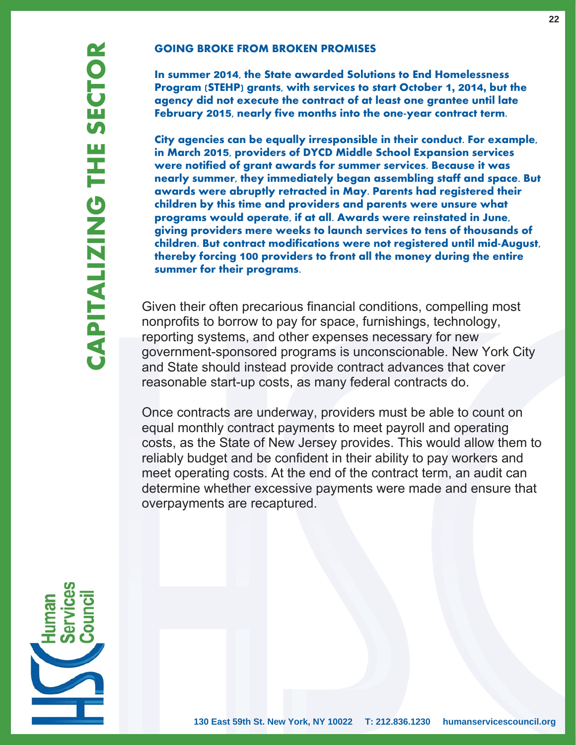#### **GOING BROKE FROM BROKEN PROMISES**

**In summer** 2014**, the State awarded Solutions to End Homelessness Program (STEHP) grants, with services to start October** 1, 2014, **but the agency did not execute the contract of at least one grantee until late February** 2015**, nearly five months into the one-year contract term.**

**City agencies can be equally irresponsible in their conduct. For example, in March** 2015**, providers of DYCD Middle School Expansion services were notified of grant awards for summer services. Because it was nearly summer, they immediately began assembling staff and space. But awards were abruptly retracted in May. Parents had registered their children by this time and providers and parents were unsure what programs would operate, if at all. Awards were reinstated in June, giving providers mere weeks to launch services to tens of thousands of children. But contract modifications were not registered until mid-August, thereby forcing** 100 **providers to front all the money during the entire summer for their programs.** 

Given their often precarious financial conditions, compelling most nonprofits to borrow to pay for space, furnishings, technology, reporting systems, and other expenses necessary for new government-sponsored programs is unconscionable. New York City and State should instead provide contract advances that cover reasonable start-up costs, as many federal contracts do.

Once contracts are underway, providers must be able to count on equal monthly contract payments to meet payroll and operating costs, as the State of New Jersey provides. This would allow them to reliably budget and be confident in their ability to pay workers and meet operating costs. At the end of the contract term, an audit can determine whether excessive payments were made and ensure that overpayments are recaptured.

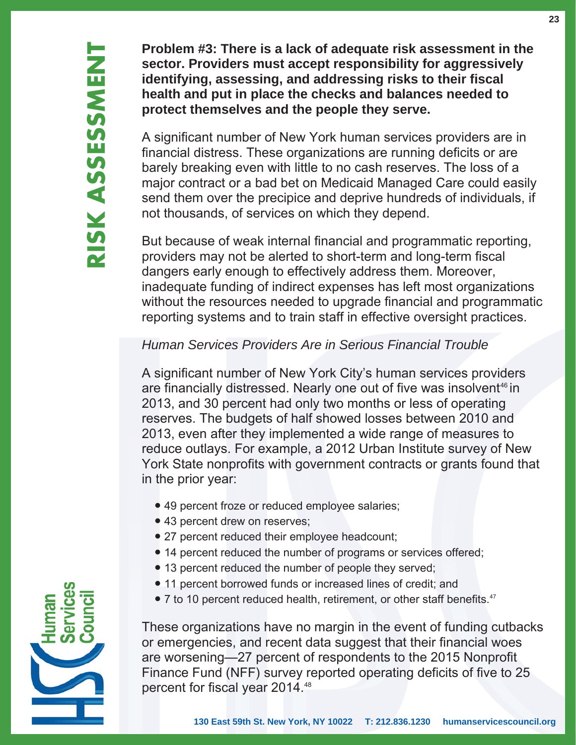**Problem #3: There is a lack of adequate risk assessment in the sector. Providers must accept responsibility for aggressively identifying, assessing, and addressing risks to their fiscal health and put in place the checks and balances needed to protect themselves and the people they serve.** 

A significant number of New York human services providers are in financial distress. These organizations are running deficits or are barely breaking even with little to no cash reserves. The loss of a major contract or a bad bet on Medicaid Managed Care could easily send them over the precipice and deprive hundreds of individuals, if not thousands, of services on which they depend.

But because of weak internal financial and programmatic reporting, providers may not be alerted to short-term and long-term fiscal dangers early enough to effectively address them. Moreover, inadequate funding of indirect expenses has left most organizations without the resources needed to upgrade financial and programmatic reporting systems and to train staff in effective oversight practices.

## *Human Services Providers Are in Serious Financial Trouble*

A significant number of New York City's human services providers are financially distressed. Nearly one out of five was insolvent<sup>46</sup> in 2013, and 30 percent had only two months or less of operating reserves. The budgets of half showed losses between 2010 and 2013, even after they implemented a wide range of measures to reduce outlays. For example, a 2012 Urban Institute survey of New York State nonprofits with government contracts or grants found that in the prior year:

- 49 percent froze or reduced employee salaries;
- 43 percent drew on reserves;
- 27 percent reduced their employee headcount;
- 14 percent reduced the number of programs or services offered;
- 13 percent reduced the number of people they served;
- 11 percent borrowed funds or increased lines of credit; and
- 7 to 10 percent reduced health, retirement, or other staff benefits.<sup>47</sup>

These organizations have no margin in the event of funding cutbacks or emergencies, and recent data suggest that their financial woes are worsening—27 percent of respondents to the 2015 Nonprofit Finance Fund (NFF) survey reported operating deficits of five to 25 percent for fiscal year 2014.<sup>48</sup>

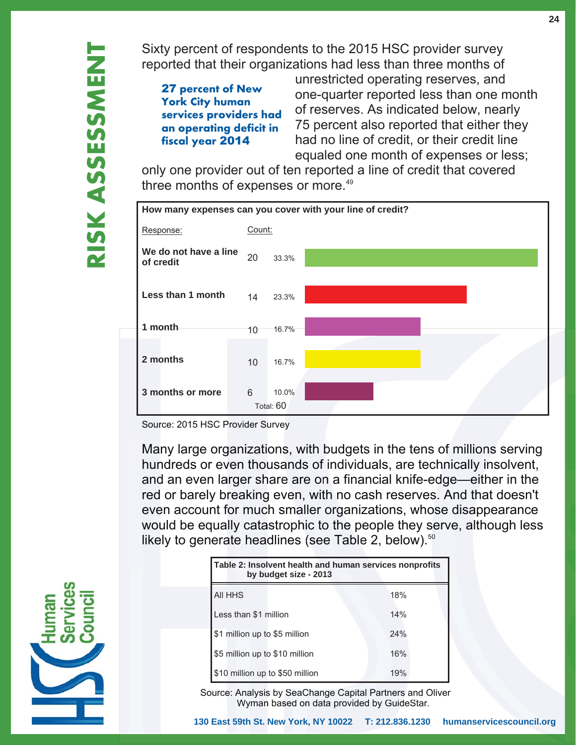Sixty percent of respondents to the 2015 HSC provider survey reported that their organizations had less than three months of

27 **percent of New York City human services providers had an operating deficit in fiscal year** 2014

 unrestricted operating reserves, and one-quarter reported less than one month of reserves. As indicated below, nearly 75 percent also reported that either they had no line of credit, or their credit line equaled one month of expenses or less;

only one provider out of ten reported a line of credit that covered three months of expenses or more.<sup>49</sup>



Source: 2015 HSC Provider Survey

Many large organizations, with budgets in the tens of millions serving hundreds or even thousands of individuals, are technically insolvent, and an even larger share are on a financial knife-edge—either in the red or barely breaking even, with no cash reserves. And that doesn't even account for much smaller organizations, whose disappearance would be equally catastrophic to the people they serve, although less likely to generate headlines (see Table 2, below). $50$ no cash reserves.<br>rganizations, whose<br>the people they ser



| ikely to generate headlines (see Table 2, below). $50$ |                                                                                  |     |  |
|--------------------------------------------------------|----------------------------------------------------------------------------------|-----|--|
|                                                        | Table 2: Insolvent health and human services nonprofits<br>by budget size - 2013 |     |  |
|                                                        | All HHS                                                                          | 18% |  |
|                                                        | Less than \$1 million                                                            | 14% |  |
|                                                        | \$1 million up to \$5 million                                                    | 24% |  |
|                                                        | \$5 million up to \$10 million                                                   | 16% |  |
|                                                        | \$10 million up to \$50 million                                                  | 19% |  |

 Source: Analysis by SeaChange Capital Partners and Oliver Wyman based on data provided by GuideStar.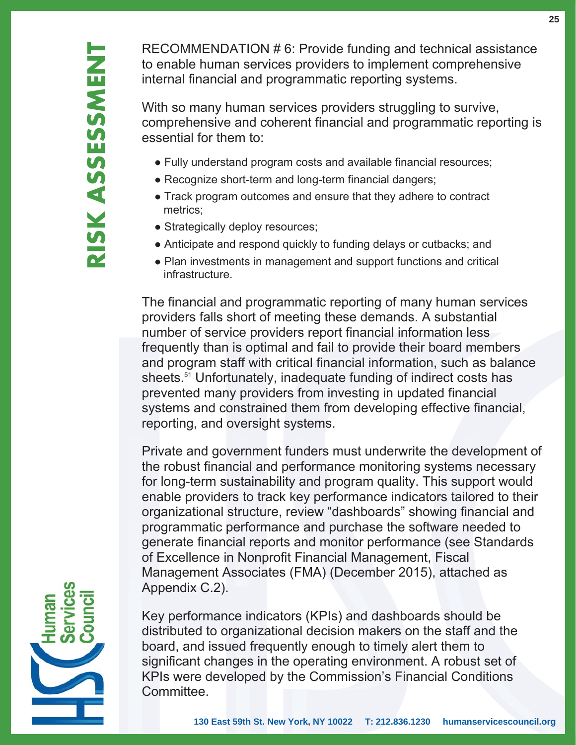RECOMMENDATION # 6: Provide funding and technical assistance to enable human services providers to implement comprehensive internal financial and programmatic reporting systems.

With so many human services providers struggling to survive, comprehensive and coherent financial and programmatic reporting is essential for them to:

- Fully understand program costs and available financial resources;
- Recognize short-term and long-term financial dangers;
- Track program outcomes and ensure that they adhere to contract metrics;
- Strategically deploy resources;
- Anticipate and respond quickly to funding delays or cutbacks; and
- Plan investments in management and support functions and critical infrastructure.

The financial and programmatic reporting of many human services providers falls short of meeting these demands. A substantial number of service providers report financial information less frequently than is optimal and fail to provide their board members and program staff with critical financial information, such as balance sheets.<sup>51</sup> Unfortunately, inadequate funding of indirect costs has prevented many providers from investing in updated financial systems and constrained them from developing effective financial, reporting, and oversight systems.

Private and government funders must underwrite the development of the robust financial and performance monitoring systems necessary for long-term sustainability and program quality. This support would enable providers to track key performance indicators tailored to their organizational structure, review "dashboards" showing financial and programmatic performance and purchase the software needed to generate financial reports and monitor performance (see Standards of Excellence in Nonprofit Financial Management, Fiscal Management Associates (FMA) (December 2015), attached as Appendix C.2).

Key performance indicators (KPIs) and dashboards should be distributed to organizational decision makers on the staff and the board, and issued frequently enough to timely alert them to significant changes in the operating environment. A robust set of KPIs were developed by the Commission's Financial Conditions Committee.

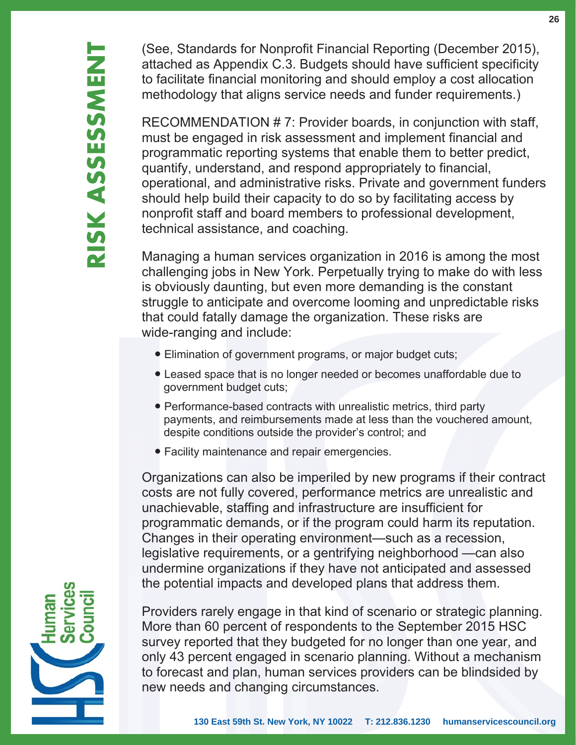(See, Standards for Nonprofit Financial Reporting (December 2015), attached as Appendix C.3. Budgets should have sufficient specificity to facilitate financial monitoring and should employ a cost allocation methodology that aligns service needs and funder requirements.)

RECOMMENDATION # 7: Provider boards, in conjunction with staff, must be engaged in risk assessment and implement financial and programmatic reporting systems that enable them to better predict, quantify, understand, and respond appropriately to financial, operational, and administrative risks. Private and government funders should help build their capacity to do so by facilitating access by nonprofit staff and board members to professional development, technical assistance, and coaching.

Managing a human services organization in 2016 is among the most challenging jobs in New York. Perpetually trying to make do with less is obviously daunting, but even more demanding is the constant struggle to anticipate and overcome looming and unpredictable risks that could fatally damage the organization. These risks are wide-ranging and include:

- Elimination of government programs, or major budget cuts;
- Leased space that is no longer needed or becomes unaffordable due to government budget cuts;
- Performance-based contracts with unrealistic metrics, third party payments, and reimbursements made at less than the vouchered amount, despite conditions outside the provider's control; and
- Facility maintenance and repair emergencies.

Organizations can also be imperiled by new programs if their contract costs are not fully covered, performance metrics are unrealistic and unachievable, staffing and infrastructure are insufficient for programmatic demands, or if the program could harm its reputation. Changes in their operating environment—such as a recession, legislative requirements, or a gentrifying neighborhood —can also undermine organizations if they have not anticipated and assessed the potential impacts and developed plans that address them.



Providers rarely engage in that kind of scenario or strategic planning. More than 60 percent of respondents to the September 2015 HSC survey reported that they budgeted for no longer than one year, and only 43 percent engaged in scenario planning. Without a mechanism to forecast and plan, human services providers can be blindsided by new needs and changing circumstances.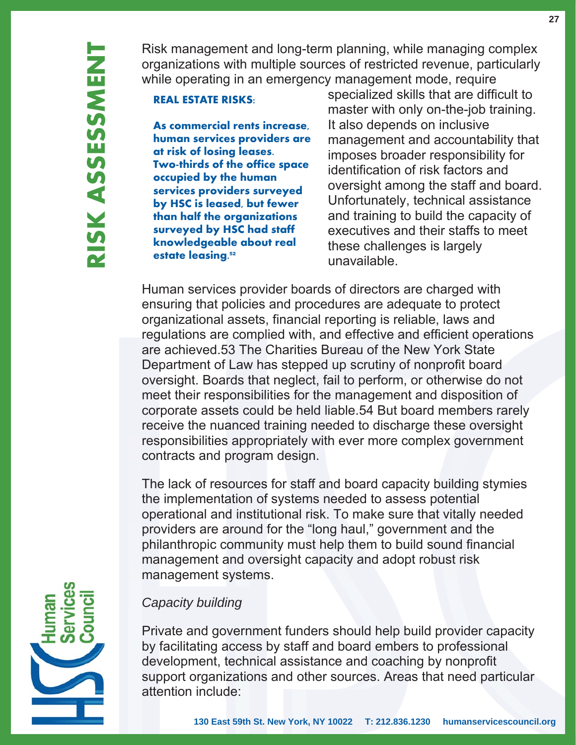Risk management and long-term planning, while managing complex organizations with multiple sources of restricted revenue, particularly while operating in an emergency management mode, require

**REAL ESTATE RISKS:**

**As commercial rents increase, human services providers are at risk of losing leases. Two-thirds of the office space occupied by the human services providers surveyed by HSC is leased, but fewer than half the organizations surveyed by HSC had staff knowledgeable about real estate leasing.**<sup>52</sup>

 specialized skills that are difficult to master with only on-the-job training. It also depends on inclusive management and accountability that imposes broader responsibility for identification of risk factors and oversight among the staff and board. Unfortunately, technical assistance and training to build the capacity of executives and their staffs to meet these challenges is largely unavailable.

Human services provider boards of directors are charged with ensuring that policies and procedures are adequate to protect organizational assets, financial reporting is reliable, laws and regulations are complied with, and effective and efficient operations are achieved.53 The Charities Bureau of the New York State Department of Law has stepped up scrutiny of nonprofit board oversight. Boards that neglect, fail to perform, or otherwise do not meet their responsibilities for the management and disposition of corporate assets could be held liable.54 But board members rarely receive the nuanced training needed to discharge these oversight responsibilities appropriately with ever more complex government contracts and program design.

The lack of resources for staff and board capacity building stymies the implementation of systems needed to assess potential operational and institutional risk. To make sure that vitally needed providers are around for the "long haul," government and the philanthropic community must help them to build sound financial management and oversight capacity and adopt robust risk management systems.

## *Capacity building*

Private and government funders should help build provider capacity by facilitating access by staff and board embers to professional development, technical assistance and coaching by nonprofit support organizations and other sources. Areas that need particular attention include:

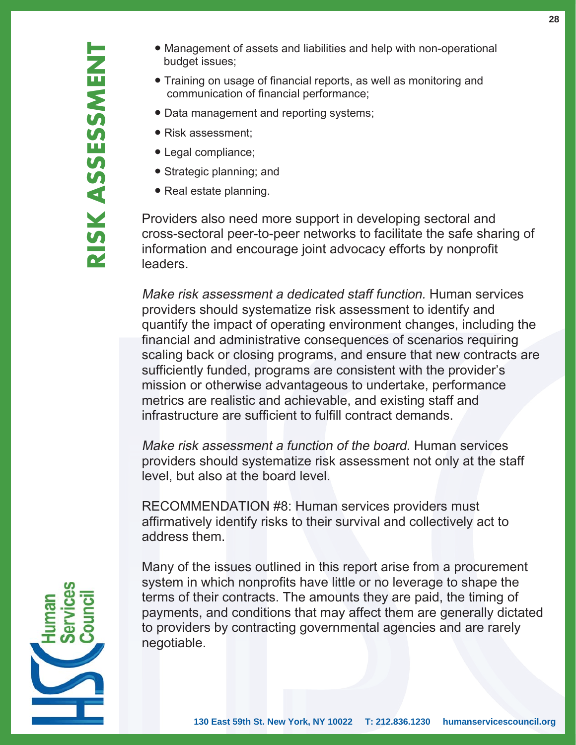- Management of assets and liabilities and help with non-operational budget issues:
- Training on usage of financial reports, as well as monitoring and communication of financial performance;
- Data management and reporting systems;
- Risk assessment;
- Legal compliance;
- Strategic planning; and
- Real estate planning.

Providers also need more support in developing sectoral and cross-sectoral peer-to-peer networks to facilitate the safe sharing of information and encourage joint advocacy efforts by nonprofit leaders.

Make risk assessment a dedicated staff function. Human services providers should systematize risk assessment to identify and quantify the impact of operating environment changes, including the financial and administrative consequences of scenarios requiring scaling back or closing programs, and ensure that new contracts are sufficiently funded, programs are consistent with the provider's mission or otherwise advantageous to undertake, performance metrics are realistic and achievable, and existing staff and infrastructure are sufficient to fulfill contract demands.

Make risk assessment a function of the board. Human services providers should systematize risk assessment not only at the staff level, but also at the board level.

RECOMMENDATION #8: Human services providers must affirmatively identify risks to their survival and collectively act to address them.

Many of the issues outlined in this report arise from a procurement system in which nonprofits have little or no leverage to shape the terms of their contracts. The amounts they are paid, the timing of payments, and conditions that may affect them are generally dictated to providers by contracting governmental agencies and are rarely negotiable.

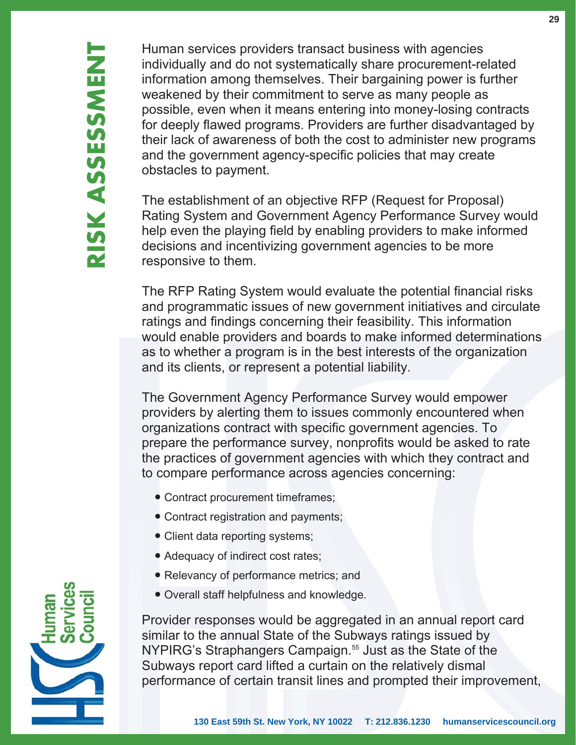Human services providers transact business with agencies individually and do not systematically share procurement-related information among themselves. Their bargaining power is further weakened by their commitment to serve as many people as possible, even when it means entering into money-losing contracts for deeply flawed programs. Providers are further disadvantaged by their lack of awareness of both the cost to administer new programs and the government agency-specific policies that may create obstacles to payment.

The establishment of an objective RFP (Request for Proposal) Rating System and Government Agency Performance Survey would help even the playing field by enabling providers to make informed decisions and incentivizing government agencies to be more responsive to them.

The RFP Rating System would evaluate the potential financial risks and programmatic issues of new government initiatives and circulate ratings and findings concerning their feasibility. This information would enable providers and boards to make informed determinations as to whether a program is in the best interests of the organization and its clients, or represent a potential liability.

The Government Agency Performance Survey would empower providers by alerting them to issues commonly encountered when organizations contract with specific government agencies. To prepare the performance survey, nonprofits would be asked to rate the practices of government agencies with which they contract and to compare performance across agencies concerning:

- Contract procurement timeframes;
- Contract registration and payments;
- Client data reporting systems;
- Adequacy of indirect cost rates:
- Relevancy of performance metrics; and
- Overall staff helpfulness and knowledge.

Provider responses would be aggregated in an annual report card similar to the annual State of the Subways ratings issued by NYPIRG's Straphangers Campaign.<sup>55</sup> Just as the State of the Subways report card lifted a curtain on the relatively dismal performance of certain transit lines and prompted their improvement,

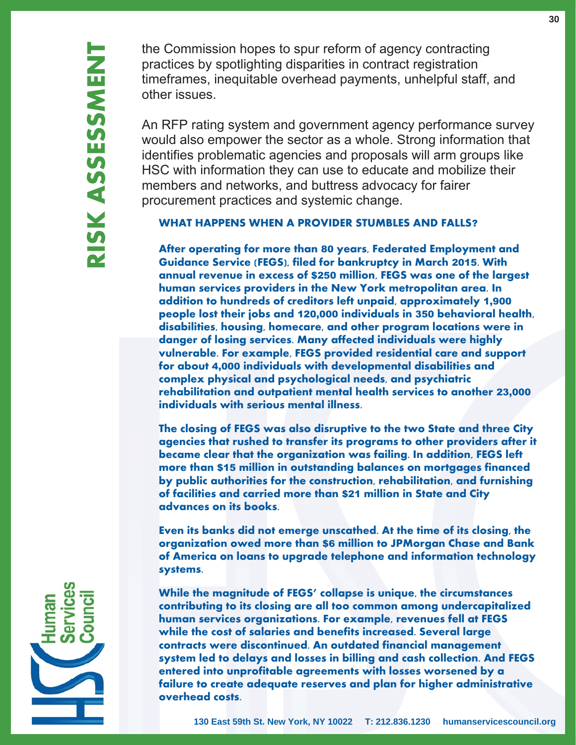the Commission hopes to spur reform of agency contracting practices by spotlighting disparities in contract registration timeframes, inequitable overhead payments, unhelpful staff, and other issues.

An RFP rating system and government agency performance survey would also empower the sector as a whole. Strong information that identifies problematic agencies and proposals will arm groups like HSC with information they can use to educate and mobilize their members and networks, and buttress advocacy for fairer procurement practices and systemic change.

#### **WHAT HAPPENS WHEN A PROVIDER STUMBLES AND FALLS**?

**After operating for more than** 80 **years, Federated Employment and Guidance Service (FEGS), filed for bankruptcy in March** 2015**. With annual revenue in excess of** \$250 **million, FEGS was one of the largest human services providers in the New York metropolitan area. In addition to hundreds of creditors left unpaid, approximately** 1,900 **people lost their jobs and** 120,000 **individuals in** 350 **behavioral health, disabilities, housing, homecare, and other program locations were in danger of losing services. Many affected individuals were highly vulnerable. For example, FEGS provided residential care and support for about** 4,000 **individuals with developmental disabilities and complex physical and psychological needs, and psychiatric rehabilitation and outpatient mental health services to another** 23,000 **individuals with serious mental illness.** 

**The closing of FEGS was also disruptive to the two State and three City agencies that rushed to transfer its programs to other providers after it became clear that the organization was failing. In addition, FEGS left more than** \$15 **million in outstanding balances on mortgages financed by public authorities for the construction, rehabilitation, and furnishing of facilities and carried more than** \$21 **million in State and City advances on its books.** 

**Even its banks did not emerge unscathed. At the time of its closing, the organization owed more than** \$6 **million to JPMorgan Chase and Bank of America on loans to upgrade telephone and information technology systems.**

**While the magnitude of FEGS' collapse is unique, the circumstances contributing to its closing are all too common among undercapitalized human services organizations. For example, revenues fell at FEGS while the cost of salaries and benefits increased. Several large contracts were discontinued. An outdated financial management system led to delays and losses in billing and cash collection. And FEGS entered into unprofitable agreements with losses worsened by a failure to create adequate reserves and plan for higher administrative overhead costs.**

**30**

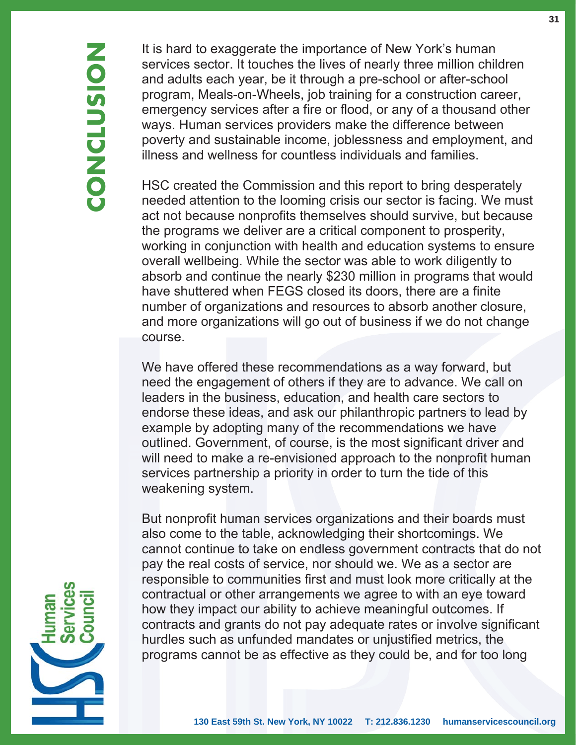It is hard to exaggerate the importance of New York's human services sector. It touches the lives of nearly three million children and adults each year, be it through a pre-school or after-school program, Meals-on-Wheels, job training for a construction career, emergency services after a fire or flood, or any of a thousand other ways. Human services providers make the difference between poverty and sustainable income, joblessness and employment, and illness and wellness for countless individuals and families.

HSC created the Commission and this report to bring desperately needed attention to the looming crisis our sector is facing. We must act not because nonprofits themselves should survive, but because the programs we deliver are a critical component to prosperity, working in conjunction with health and education systems to ensure overall wellbeing. While the sector was able to work diligently to absorb and continue the nearly \$230 million in programs that would have shuttered when FEGS closed its doors, there are a finite number of organizations and resources to absorb another closure, and more organizations will go out of business if we do not change course.

We have offered these recommendations as a way forward, but need the engagement of others if they are to advance. We call on leaders in the business, education, and health care sectors to endorse these ideas, and ask our philanthropic partners to lead by example by adopting many of the recommendations we have outlined. Government, of course, is the most significant driver and will need to make a re-envisioned approach to the nonprofit human services partnership a priority in order to turn the tide of this weakening system.

But nonprofit human services organizations and their boards must also come to the table, acknowledging their shortcomings. We cannot continue to take on endless government contracts that do not pay the real costs of service, nor should we. We as a sector are responsible to communities first and must look more critically at the contractual or other arrangements we agree to with an eye toward how they impact our ability to achieve meaningful outcomes. If contracts and grants do not pay adequate rates or involve significant hurdles such as unfunded mandates or unjustified metrics, the programs cannot be as effective as they could be, and for too long

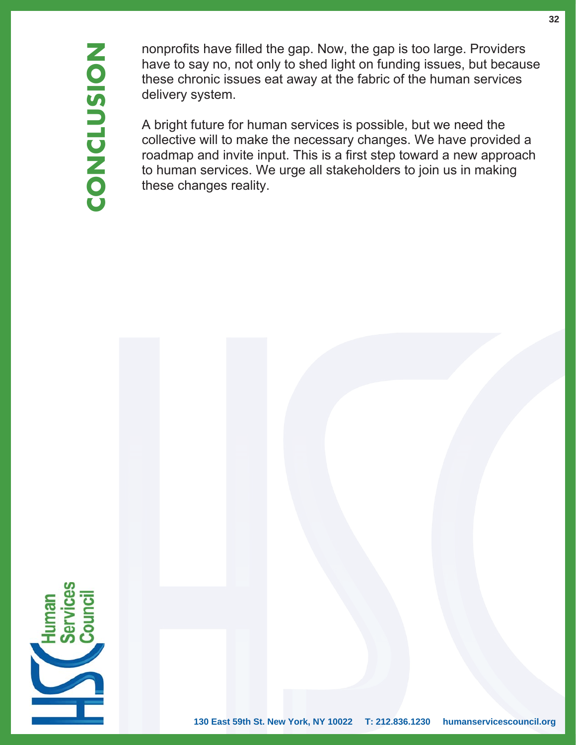nonprofits have filled the gap. Now, the gap is too large. Providers have to say no, not only to shed light on funding issues, but because these chronic issues eat away at the fabric of the human services delivery system.

A bright future for human services is possible, but we need the collective will to make the necessary changes. We have provided a roadmap and invite input. This is a first step toward a new approach to human services. We urge all stakeholders to join us in making these changes reality.

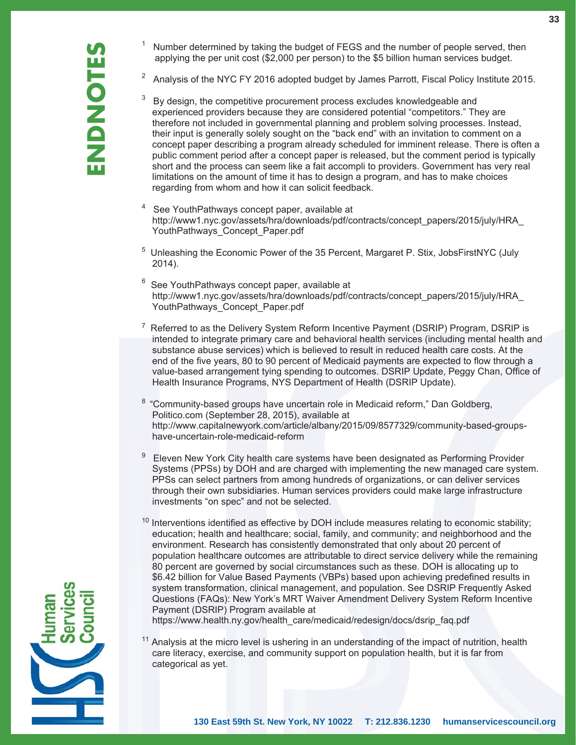- 1 Number determined by taking the budget of FEGS and the number of people served, then applying the per unit cost (\$2,000 per person) to the \$5 billion human services budget.
- <sup>2</sup> Analysis of the NYC FY 2016 adopted budget by James Parrott, Fiscal Policy Institute 2015.
- 3 By design, the competitive procurement process excludes knowledgeable and experienced providers because they are considered potential "competitors." They are therefore not included in governmental planning and problem solving processes. Instead, their input is generally solely sought on the "back end" with an invitation to comment on a concept paper describing a program already scheduled for imminent release. There is often a public comment period after a concept paper is released, but the comment period is typically short and the process can seem like a fait accompli to providers. Government has very real limitations on the amount of time it has to design a program, and has to make choices regarding from whom and how it can solicit feedback.
- 4 See YouthPathways concept paper, available at http://www1.nyc.gov/assets/hra/downloads/pdf/contracts/concept\_papers/2015/july/HRA\_ YouthPathways\_Concept\_Paper.pdf
- <sup>5</sup> Unleashing the Economic Power of the 35 Percent, Margaret P. Stix, JobsFirstNYC (July 2014).
- $6$  See YouthPathways concept paper, available at http://www1.nyc.gov/assets/hra/downloads/pdf/contracts/concept\_papers/2015/july/HRA\_ YouthPathways\_Concept\_Paper.pdf
- 7 Referred to as the Delivery System Reform Incentive Payment (DSRIP) Program, DSRIP is intended to integrate primary care and behavioral health services (including mental health and substance abuse services) which is believed to result in reduced health care costs. At the end of the five years, 80 to 90 percent of Medicaid payments are expected to flow through a value-based arrangement tying spending to outcomes. DSRIP Update, Peggy Chan, Office of Health Insurance Programs, NYS Department of Health (DSRIP Update).
- <sup>8</sup> "Community-based groups have uncertain role in Medicaid reform," Dan Goldberg, Politico.com (September 28, 2015), available at http://www.capitalnewyork.com/article/albany/2015/09/8577329/community-based-groups have-uncertain-role-medicaid-reform
- 9 Eleven New York City health care systems have been designated as Performing Provider Systems (PPSs) by DOH and are charged with implementing the new managed care system. PPSs can select partners from among hundreds of organizations, or can deliver services through their own subsidiaries. Human services providers could make large infrastructure investments "on spec" and not be selected.
- $10$  Interventions identified as effective by DOH include measures relating to economic stability; education; health and healthcare; social, family, and community; and neighborhood and the environment. Research has consistently demonstrated that only about 20 percent of population healthcare outcomes are attributable to direct service delivery while the remaining 80 percent are governed by social circumstances such as these. DOH is allocating up to \$6.42 billion for Value Based Payments (VBPs) based upon achieving predefined results in system transformation, clinical management, and population. See DSRIP Frequently Asked Questions (FAQs): New York's MRT Waiver Amendment Delivery System Reform Incentive Payment (DSRIP) Program available at

https://www.health.ny.gov/health\_care/medicaid/redesign/docs/dsrip\_faq.pdf

 $11$  Analysis at the micro level is ushering in an understanding of the impact of nutrition, health care literacy, exercise, and community support on population health, but it is far from categorical as yet.

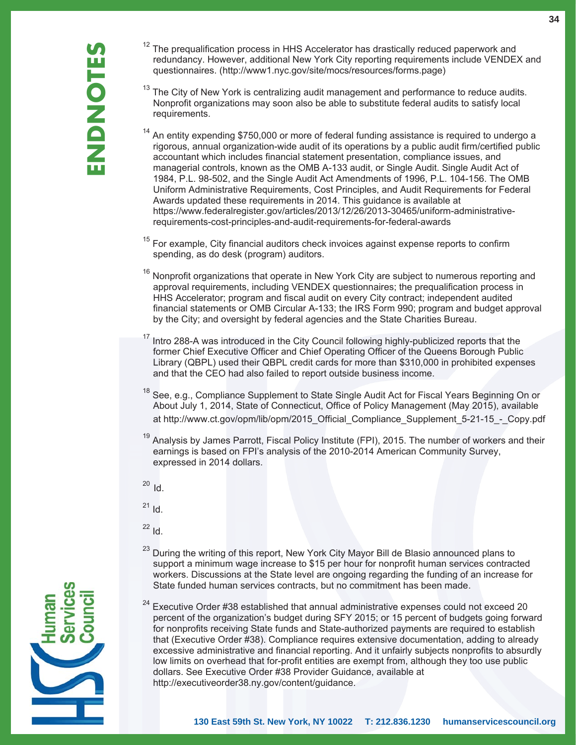- $12$  The prequalification process in HHS Accelerator has drastically reduced paperwork and redundancy. However, additional New York City reporting requirements include VENDEX and questionnaires. (http://www1.nyc.gov/site/mocs/resources/forms.page)
- $13$  The City of New York is centralizing audit management and performance to reduce audits. Nonprofit organizations may soon also be able to substitute federal audits to satisfy local requirements.
- $14$  An entity expending \$750,000 or more of federal funding assistance is required to undergo a rigorous, annual organization-wide audit of its operations by a public audit firm/certified public accountant which includes financial statement presentation, compliance issues, and managerial controls, known as the OMB A-133 audit, or Single Audit. Single Audit Act of 1984, P.L. 98-502, and the Single Audit Act Amendments of 1996, P.L. 104-156. The OMB Uniform Administrative Requirements, Cost Principles, and Audit Requirements for Federal Awards updated these requirements in 2014. This guidance is available at https://www.federalregister.gov/articles/2013/12/26/2013-30465/uniform-administrative requirements-cost-principles-and-audit-requirements-for-federal-awards

 $15$  For example, City financial auditors check invoices against expense reports to confirm spending, as do desk (program) auditors.

- <sup>16</sup> Nonprofit organizations that operate in New York City are subject to numerous reporting and approval requirements, including VENDEX questionnaires; the prequalification process in HHS Accelerator; program and fiscal audit on every City contract; independent audited financial statements or OMB Circular A-133; the IRS Form 990; program and budget approval by the City; and oversight by federal agencies and the State Charities Bureau.
- Intro 288-A was introduced in the City Council following highly-publicized reports that the former Chief Executive Officer and Chief Operating Officer of the Queens Borough Public Library (QBPL) used their QBPL credit cards for more than \$310,000 in prohibited expenses and that the CEO had also failed to report outside business income.
- See, e.g., Compliance Supplement to State Single Audit Act for Fiscal Years Beginning On or About July 1, 2014, State of Connecticut, Office of Policy Management (May 2015), available at http://www.ct.gov/opm/lib/opm/2015\_Official\_Compliance\_Supplement\_5-21-15\_-\_Copy.pdf
- <sup>19</sup> Analysis by James Parrott, Fiscal Policy Institute (FPI), 2015. The number of workers and their earnings is based on FPI's analysis of the 2010-2014 American Community Survey, expressed in 2014 dollars.
- <sup>20</sup> Id.
- $21$  Id.
- $22$  Id.
- <sup>23</sup> During the writing of this report, New York City Mayor Bill de Blasio announced plans to support a minimum wage increase to \$15 per hour for nonprofit human services contracted workers. Discussions at the State level are ongoing regarding the funding of an increase for State funded human services contracts, but no commitment has been made.
- $24$  Executive Order #38 established that annual administrative expenses could not exceed 20 percent of the organization's budget during SFY 2015; or 15 percent of budgets going forward for nonprofits receiving State funds and State-authorized payments are required to establish that (Executive Order #38). Compliance requires extensive documentation, adding to already excessive administrative and financial reporting. And it unfairly subjects nonprofits to absurdly low limits on overhead that for-profit entities are exempt from, although they too use public dollars. See Executive Order #38 Provider Guidance, available at http://executiveorder38.ny.gov/content/guidance.

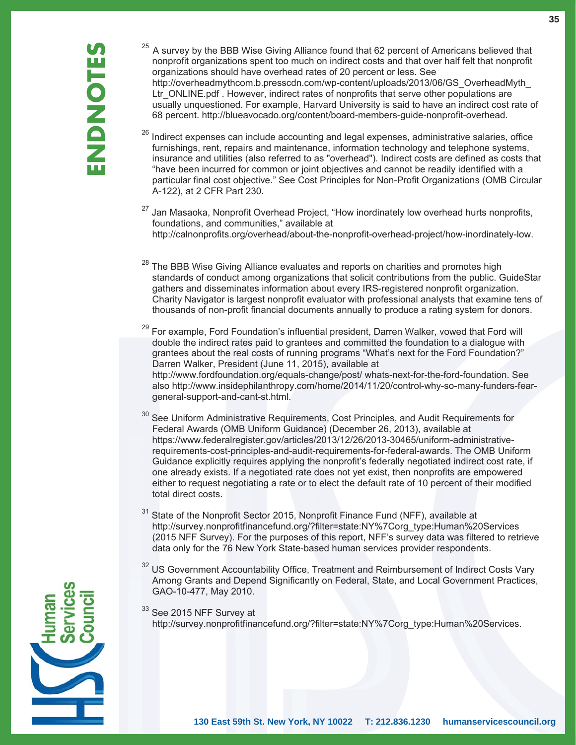- $25$  A survey by the BBB Wise Giving Alliance found that 62 percent of Americans believed that nonprofit organizations spent too much on indirect costs and that over half felt that nonprofit organizations should have overhead rates of 20 percent or less. See http://overheadmythcom.b.presscdn.com/wp-content/uploads/2013/06/GS\_OverheadMyth\_ Ltr\_ONLINE.pdf . However, indirect rates of nonprofits that serve other populations are usually unquestioned. For example, Harvard University is said to have an indirect cost rate of 68 percent. http://blueavocado.org/content/board-members-guide-nonprofit-overhead.
- $26$  Indirect expenses can include accounting and legal expenses, administrative salaries, office furnishings, rent, repairs and maintenance, information technology and telephone systems, insurance and utilities (also referred to as "overhead"). Indirect costs are defined as costs that "have been incurred for common or joint objectives and cannot be readily identified with a particular final cost objective." See Cost Principles for Non-Profit Organizations (OMB Circular A-122), at 2 CFR Part 230.
- Jan Masaoka, Nonprofit Overhead Project, "How inordinately low overhead hurts nonprofits, foundations, and communities," available at http://calnonprofits.org/overhead/about-the-nonprofit-overhead-project/how-inordinately-low.
- $28$  The BBB Wise Giving Alliance evaluates and reports on charities and promotes high standards of conduct among organizations that solicit contributions from the public. GuideStar gathers and disseminates information about every IRS-registered nonprofit organization. Charity Navigator is largest nonprofit evaluator with professional analysts that examine tens of thousands of non-profit financial documents annually to produce a rating system for donors.
- 29 For example, Ford Foundation's influential president, Darren Walker, vowed that Ford will double the indirect rates paid to grantees and committed the foundation to a dialogue with grantees about the real costs of running programs "What's next for the Ford Foundation?" Darren Walker, President (June 11, 2015), available at http://www.fordfoundation.org/equals-change/post/ whats-next-for-the-ford-foundation. See also http://www.insidephilanthropy.com/home/2014/11/20/control-why-so-many-funders-fear general-support-and-cant-st.html.
- <sup>30</sup> See Uniform Administrative Requirements, Cost Principles, and Audit Requirements for Federal Awards (OMB Uniform Guidance) (December 26, 2013), available at https://www.federalregister.gov/articles/2013/12/26/2013-30465/uniform-administrative requirements-cost-principles-and-audit-requirements-for-federal-awards. The OMB Uniform Guidance explicitly requires applying the nonprofit's federally negotiated indirect cost rate, if one already exists. If a negotiated rate does not yet exist, then nonprofits are empowered either to request negotiating a rate or to elect the default rate of 10 percent of their modified total direct costs.
- $31$  State of the Nonprofit Sector 2015, Nonprofit Finance Fund (NFF), available at http://survey.nonprofitfinancefund.org/?filter=state:NY%7Corg\_type:Human%20Services (2015 NFF Survey). For the purposes of this report, NFF's survey data was filtered to retrieve data only for the 76 New York State-based human services provider respondents.
- <sup>32</sup> US Government Accountability Office, Treatment and Reimbursement of Indirect Costs Vary Among Grants and Depend Significantly on Federal, State, and Local Government Practices, GAO-10-477, May 2010.
- $33$  See 2015 NFF Survey at http://survey.nonprofitfinancefund.org/?filter=state:NY%7Corg\_type:Human%20Services.

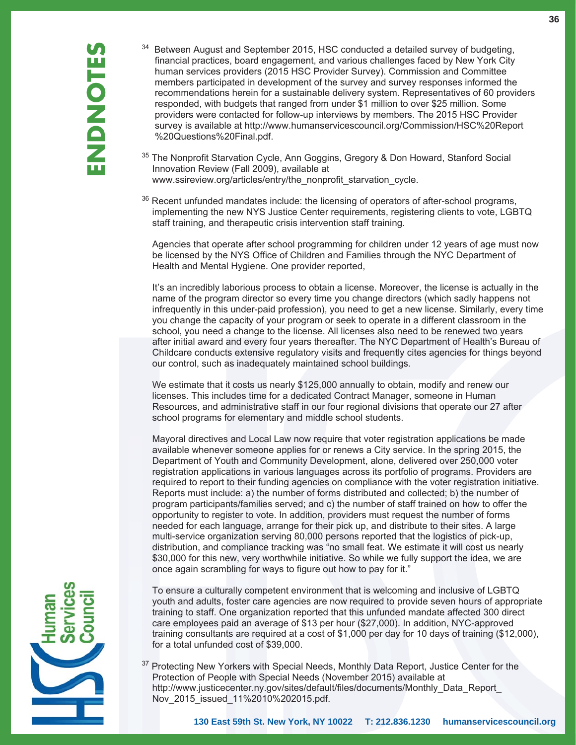- 34 Between August and September 2015, HSC conducted a detailed survey of budgeting, financial practices, board engagement, and various challenges faced by New York City human services providers (2015 HSC Provider Survey). Commission and Committee members participated in development of the survey and survey responses informed the recommendations herein for a sustainable delivery system. Representatives of 60 providers responded, with budgets that ranged from under \$1 million to over \$25 million. Some providers were contacted for follow-up interviews by members. The 2015 HSC Provider survey is available at http://www.humanservicescouncil.org/Commission/HSC%20Report %20Questions%20Final.pdf.
- <sup>35</sup> The Nonprofit Starvation Cycle, Ann Goggins, Gregory & Don Howard, Stanford Social Innovation Review (Fall 2009), available at www.ssireview.org/articles/entry/the\_nonprofit\_starvation\_cycle.
- <sup>36</sup> Recent unfunded mandates include: the licensing of operators of after-school programs, implementing the new NYS Justice Center requirements, registering clients to vote, LGBTQ staff training, and therapeutic crisis intervention staff training.

 Agencies that operate after school programming for children under 12 years of age must now be licensed by the NYS Office of Children and Families through the NYC Department of Health and Mental Hygiene. One provider reported,

 It's an incredibly laborious process to obtain a license. Moreover, the license is actually in the name of the program director so every time you change directors (which sadly happens not infrequently in this under-paid profession), you need to get a new license. Similarly, every time you change the capacity of your program or seek to operate in a different classroom in the school, you need a change to the license. All licenses also need to be renewed two years after initial award and every four years thereafter. The NYC Department of Health's Bureau of Childcare conducts extensive regulatory visits and frequently cites agencies for things beyond our control, such as inadequately maintained school buildings.

 We estimate that it costs us nearly \$125,000 annually to obtain, modify and renew our licenses. This includes time for a dedicated Contract Manager, someone in Human Resources, and administrative staff in our four regional divisions that operate our 27 after school programs for elementary and middle school students.

 Mayoral directives and Local Law now require that voter registration applications be made available whenever someone applies for or renews a City service. In the spring 2015, the Department of Youth and Community Development, alone, delivered over 250,000 voter registration applications in various languages across its portfolio of programs. Providers are required to report to their funding agencies on compliance with the voter registration initiative. Reports must include: a) the number of forms distributed and collected; b) the number of program participants/families served; and c) the number of staff trained on how to offer the opportunity to register to vote. In addition, providers must request the number of forms needed for each language, arrange for their pick up, and distribute to their sites. A large multi-service organization serving 80,000 persons reported that the logistics of pick-up, distribution, and compliance tracking was "no small feat. We estimate it will cost us nearly \$30,000 for this new, very worthwhile initiative. So while we fully support the idea, we are once again scrambling for ways to figure out how to pay for it."

 To ensure a culturally competent environment that is welcoming and inclusive of LGBTQ youth and adults, foster care agencies are now required to provide seven hours of appropriate training to staff. One organization reported that this unfunded mandate affected 300 direct care employees paid an average of \$13 per hour (\$27,000). In addition, NYC-approved training consultants are required at a cost of \$1,000 per day for 10 days of training (\$12,000), for a total unfunded cost of \$39,000.

<sup>37</sup> Protecting New Yorkers with Special Needs, Monthly Data Report, Justice Center for the Protection of People with Special Needs (November 2015) available at http://www.justicecenter.ny.gov/sites/default/files/documents/Monthly\_Data\_Report\_ Nov\_2015\_issued\_11%2010%202015.pdf.

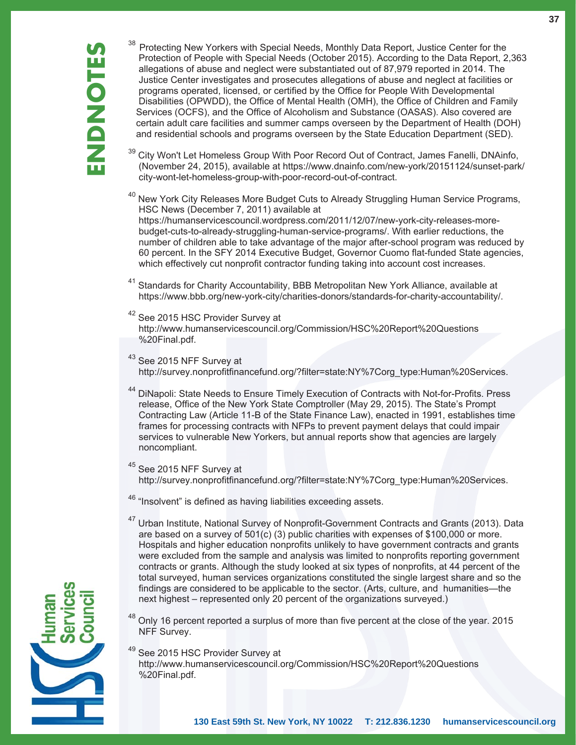<sup>38</sup> Protecting New Yorkers with Special Needs, Monthly Data Report, Justice Center for the Protection of People with Special Needs (October 2015). According to the Data Report, 2 allegations of abuse and neglect were subs Protection of People with Special Needs (October 2015). According to the Data Report, 2,363 allegations of abuse and neglect were substantiated out of 87,979 reported in 2014. The Justice Center investigates and prosecutes allegations of abuse and neglect at facilities or programs operated, licensed, or certified by the Office for People With Developmental Disabilities (OPWDD), the Office of Mental Health (OMH), the Office of Children and Family Services (OCFS), and the Office of Alcoholism and Substance (OASAS). Also covered are certain adult care facilities and summer camps overseen by the Department of Health (DOH) and residential schools and programs overseen by the State Education Department (SED).

- City Won't Let Homeless Group With Poor Record Out of Contract, James Fanelli, DNAinfo, (November 24, 2015), available at https://www.dnainfo.com/new-york/20151124/sunset-park/ city-wont-let-homeless-group-with-poor-record-out-of-contract.
- $40$  New York City Releases More Budget Cuts to Already Struggling Human Service Programs, HSC News (December 7, 2011) available at https://humanservicescouncil.wordpress.com/2011/12/07/new-york-city-releases-more budget-cuts-to-already-struggling-human-service-programs/. With earlier reductions, the number of children able to take advantage of the major after-school program was reduced by 60 percent. In the SFY 2014 Executive Budget, Governor Cuomo flat-funded State agencies, which effectively cut nonprofit contractor funding taking into account cost increases.
- <sup>41</sup> Standards for Charity Accountability, BBB Metropolitan New York Alliance, available at https://www.bbb.org/new-york-city/charities-donors/standards-for-charity-accountability/.
- <sup>42</sup> See 2015 HSC Provider Survey at http://www.humanservicescouncil.org/Commission/HSC%20Report%20Questions %20Final.pdf.
- <sup>43</sup> See 2015 NFF Survey at http://survey.nonprofitfinancefund.org/?filter=state:NY%7Corg\_type:Human%20Services.
- <sup>44</sup> DiNapoli: State Needs to Ensure Timely Execution of Contracts with Not-for-Profits. Press release, Office of the New York State Comptroller (May 29, 2015). The State's Prompt Contracting Law (Article 11-B of the State Finance Law), enacted in 1991, establishes time frames for processing contracts with NFPs to prevent payment delays that could impair services to vulnerable New Yorkers, but annual reports show that agencies are largely noncompliant.
- <sup>45</sup> See 2015 NFF Survey at http://survey.nonprofitfinancefund.org/?filter=state:NY%7Corg\_type:Human%20Services.
- <sup>46</sup> "Insolvent" is defined as having liabilities exceeding assets.
- <sup>47</sup> Urban Institute, National Survey of Nonprofit-Government Contracts and Grants (2013). Data are based on a survey of 501(c) (3) public charities with expenses of \$100,000 or more. Hospitals and higher education nonprofits unlikely to have government contracts and grants were excluded from the sample and analysis was limited to nonprofits reporting government contracts or grants. Although the study looked at six types of nonprofits, at 44 percent of the total surveyed, human services organizations constituted the single largest share and so the findings are considered to be applicable to the sector. (Arts, culture, and humanities—the next highest – represented only 20 percent of the organizations surveyed.)
- $48$  Only 16 percent reported a surplus of more than five percent at the close of the year. 2015 NFF Survey.
- <sup>49</sup> See 2015 HSC Provider Survey at http://www.humanservicescouncil.org/Commission/HSC%20Report%20Questions %20Final.pdf.

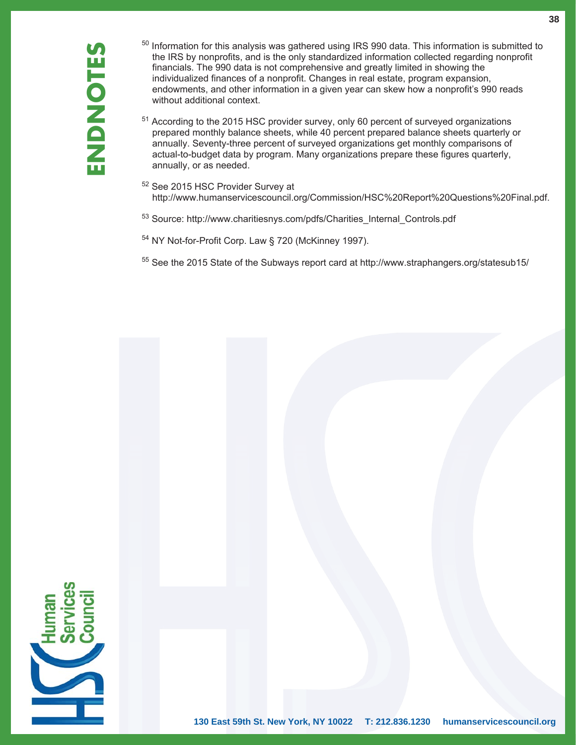- $50$  Information for this analysis was gathered using IRS 990 data. This information is submitted to the IRS by nonprofits, and is the only standardized information collected regarding nonprofit financials. The 990 data is not comprehensive and greatly limited in showing the individualized finances of a nonprofit. Changes in real estate, program expansion, endowments, and other information in a given year can skew how a nonprofit's 990 reads without additional context.
- <sup>51</sup> According to the 2015 HSC provider survey, only 60 percent of surveyed organizations prepared monthly balance sheets, while 40 percent prepared balance sheets quarterly or annually. Seventy-three percent of surveyed organizations get monthly comparisons of actual-to-budget data by program. Many organizations prepare these figures quarterly, annually, or as needed.
- 52 See 2015 HSC Provider Survey at http://www.humanservicescouncil.org/Commission/HSC%20Report%20Questions%20Final.pdf.
- 53 Source: http://www.charitiesnys.com/pdfs/Charities\_Internal\_Controls.pdf
- 54 NY Not-for-Profit Corp. Law § 720 (McKinney 1997).
- 55 See the 2015 State of the Subways report card at http://www.straphangers.org/statesub15/

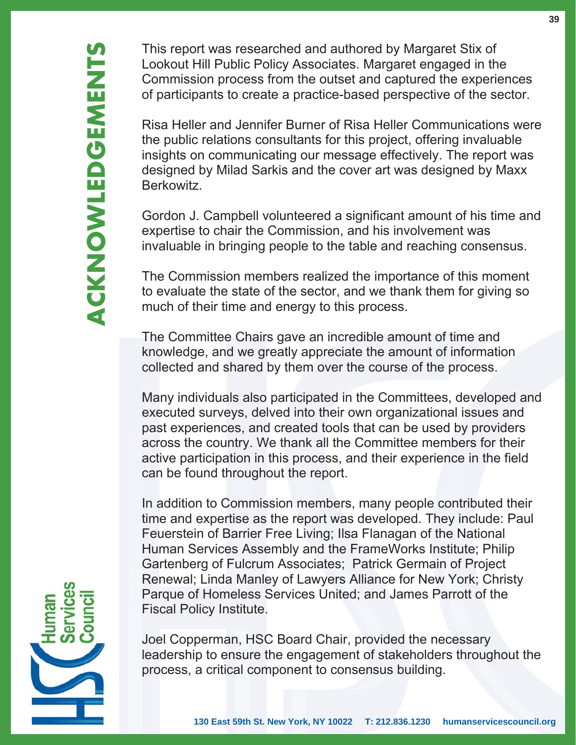This report was researched and authored by Margaret Stix of Lookout Hill Public Policy Associates. Margaret engaged in the Commission process from the outset and captured the experiences of participants to create a practice-based perspective of the sector.

Risa Heller and Jennifer Burner of Risa Heller Communications were the public relations consultants for this project, offering invaluable insights on communicating our message effectively. The report was designed by Milad Sarkis and the cover art was designed by Maxx Berkowitz.

Gordon J. Campbell volunteered a significant amount of his time and expertise to chair the Commission, and his involvement was invaluable in bringing people to the table and reaching consensus.

The Commission members realized the importance of this moment to evaluate the state of the sector, and we thank them for giving so much of their time and energy to this process.

The Committee Chairs gave an incredible amount of time and knowledge, and we greatly appreciate the amount of information collected and shared by them over the course of the process.

Many individuals also participated in the Committees, developed and executed surveys, delved into their own organizational issues and past experiences, and created tools that can be used by providers across the country. We thank all the Committee members for their active participation in this process, and their experience in the field can be found throughout the report.

In addition to Commission members, many people contributed their time and expertise as the report was developed. They include: Paul Feuerstein of Barrier Free Living; Ilsa Flanagan of the National Human Services Assembly and the FrameWorks Institute; Philip Gartenberg of Fulcrum Associates; Patrick Germain of Project Renewal; Linda Manley of Lawyers Alliance for New York; Christy Parque of Homeless Services United; and James Parrott of the Fiscal Policy Institute.

Joel Copperman, HSC Board Chair, provided the necessary leadership to ensure the engagement of stakeholders throughout the process, a critical component to consensus building.

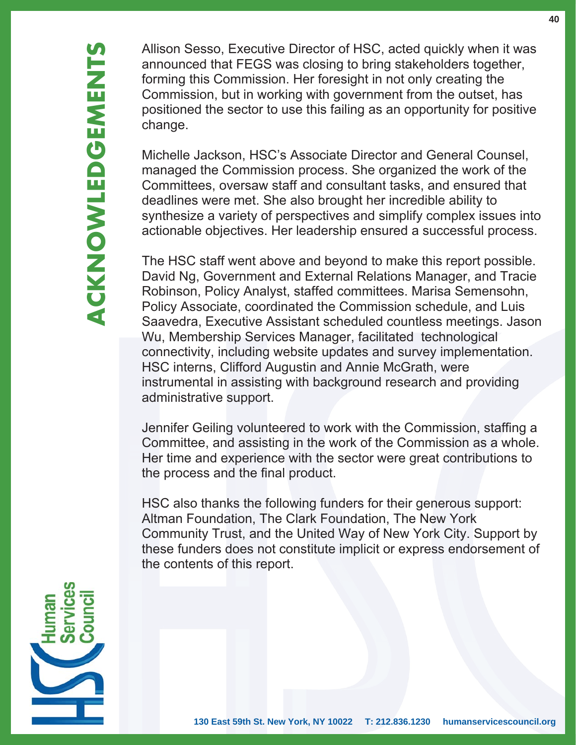Allison Sesso, Executive Director of HSC, acted quickly when it was announced that FEGS was closing to bring stakeholders together, forming this Commission. Her foresight in not only creating the Commission, but in working with government from the outset, has positioned the sector to use this failing as an opportunity for positive change.

Michelle Jackson, HSC's Associate Director and General Counsel, managed the Commission process. She organized the work of the Committees, oversaw staff and consultant tasks, and ensured that deadlines were met. She also brought her incredible ability to synthesize a variety of perspectives and simplify complex issues into actionable objectives. Her leadership ensured a successful process.

The HSC staff went above and beyond to make this report possible. David Ng, Government and External Relations Manager, and Tracie Robinson, Policy Analyst, staffed committees. Marisa Semensohn, Policy Associate, coordinated the Commission schedule, and Luis Saavedra, Executive Assistant scheduled countless meetings. Jason Wu, Membership Services Manager, facilitated technological connectivity, including website updates and survey implementation. HSC interns, Clifford Augustin and Annie McGrath, were instrumental in assisting with background research and providing administrative support.

Jennifer Geiling volunteered to work with the Commission, staffing a Committee, and assisting in the work of the Commission as a whole. Her time and experience with the sector were great contributions to the process and the final product.

HSC also thanks the following funders for their generous support: Altman Foundation, The Clark Foundation, The New York Community Trust, and the United Way of New York City. Support by these funders does not constitute implicit or express endorsement of the contents of this report.

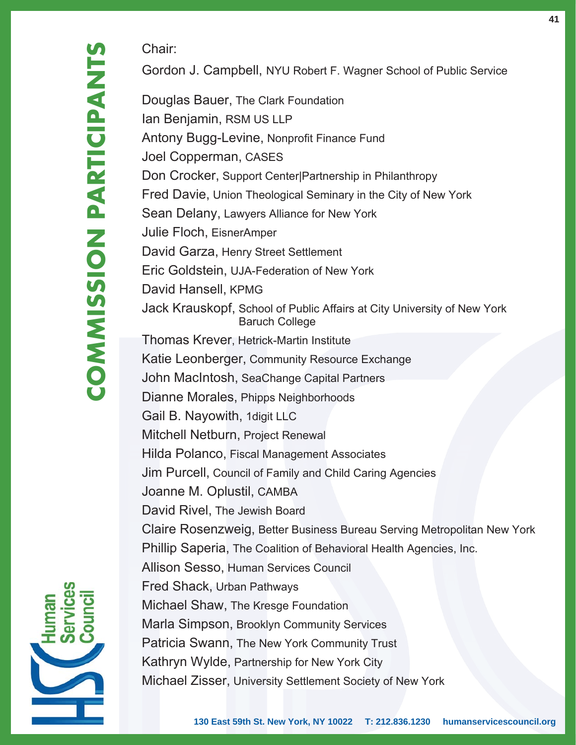Chair:

Gordon J. Campbell, NYU Robert F. Wagner School of Public Service

Douglas Bauer, The Clark Foundation Ian Benjamin, RSM US LLP Antony Bugg-Levine, Nonprofit Finance Fund Joel Copperman, CASES Don Crocker, Support Center|Partnership in Philanthropy Fred Davie, Union Theological Seminary in the City of New York Sean Delany, Lawyers Alliance for New York Julie Floch, EisnerAmper David Garza, Henry Street Settlement Eric Goldstein, UJA-Federation of New York David Hansell, KPMG Jack Krauskopf, School of Public Affairs at City University of New York Baruch College Thomas Krever, Hetrick-Martin Institute Katie Leonberger, Community Resource Exchange John MacIntosh, SeaChange Capital Partners Dianne Morales, Phipps Neighborhoods Gail B. Nayowith, 1digit LLC Mitchell Netburn, Project Renewal Hilda Polanco, Fiscal Management Associates Jim Purcell, Council of Family and Child Caring Agencies Joanne M. Oplustil, CAMBA David Rivel, The Jewish Board Claire Rosenzweig, Better Business Bureau Serving Metropolitan New York Phillip Saperia, The Coalition of Behavioral Health Agencies, Inc. Allison Sesso, Human Services Council Fred Shack, Urban Pathways Michael Shaw, The Kresge Foundation Marla Simpson, Brooklyn Community Services Patricia Swann, The New York Community Trust Kathryn Wylde, Partnership for New York City Michael Zisser, University Settlement Society of New York